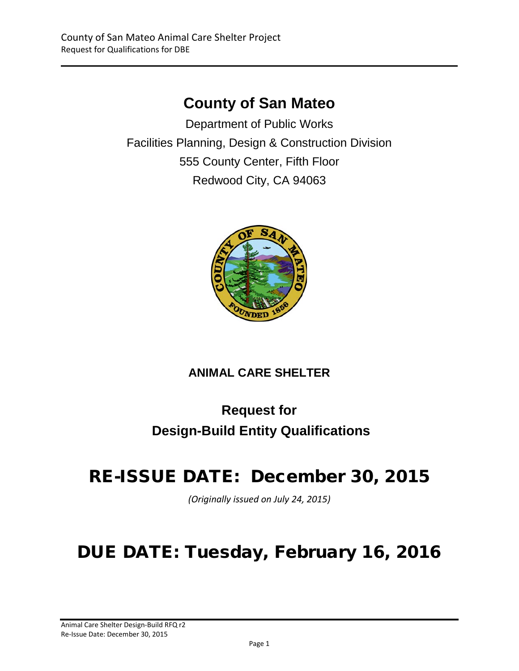# **County of San Mateo**

Department of Public Works Facilities Planning, Design & Construction Division 555 County Center, Fifth Floor Redwood City, CA 94063



# **ANIMAL CARE SHELTER**

# **Request for Design-Build Entity Qualifications**

# RE-ISSUE DATE: December 30, 2015

*(Originally issued on July 24, 2015)*

# DUE DATE: Tuesday, February 16, 2016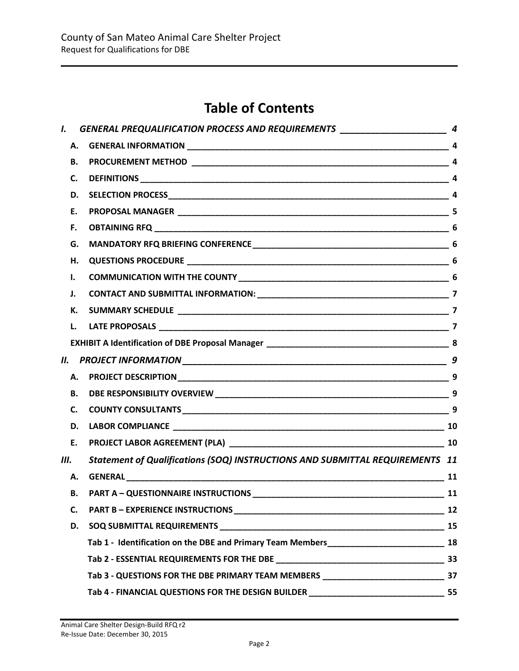# **Table of Contents**

| I.  |           | GENERAL PREQUALIFICATION PROCESS AND REQUIREMENTS ______________________________ 4   |    |
|-----|-----------|--------------------------------------------------------------------------------------|----|
|     | Α.        |                                                                                      |    |
|     | В.        |                                                                                      |    |
|     | C.        |                                                                                      |    |
|     | D.        |                                                                                      |    |
|     | Е.        |                                                                                      |    |
|     | F.        |                                                                                      |    |
|     | G.        |                                                                                      |    |
|     | н.        |                                                                                      |    |
|     | Ι.        |                                                                                      |    |
|     | J.        |                                                                                      |    |
|     | К.        |                                                                                      |    |
|     | L.        |                                                                                      |    |
|     |           |                                                                                      |    |
| II. |           |                                                                                      |    |
|     | А.        |                                                                                      |    |
|     | <b>B.</b> |                                                                                      |    |
|     | C.        |                                                                                      |    |
|     | D.        |                                                                                      |    |
|     | E.        |                                                                                      |    |
| Ш.  |           | Statement of Qualifications (SOQ) INSTRUCTIONS AND SUBMITTAL REQUIREMENTS 11         |    |
|     | А.        |                                                                                      |    |
|     | В.        |                                                                                      |    |
|     | C.        |                                                                                      | 12 |
|     | D.        |                                                                                      | 15 |
|     |           |                                                                                      |    |
|     |           |                                                                                      |    |
|     |           |                                                                                      |    |
|     |           | Tab 4 - FINANCIAL QUESTIONS FOR THE DESIGN BUILDER _______________________________55 |    |
|     |           |                                                                                      |    |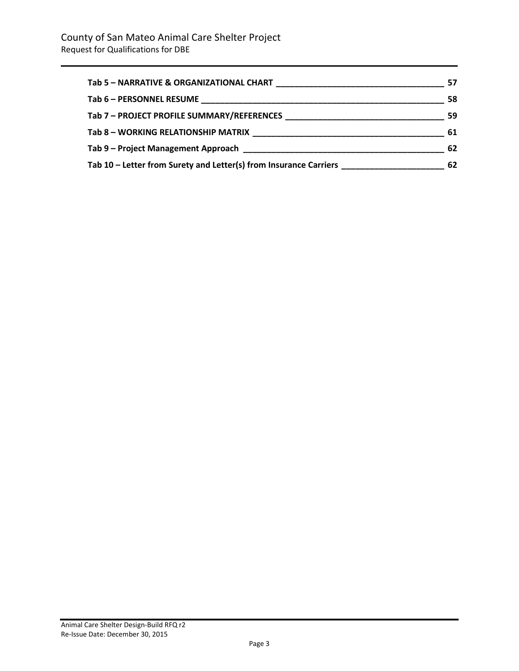| Tab 5 - NARRATIVE & ORGANIZATIONAL CHART                                                                              | 57 |
|-----------------------------------------------------------------------------------------------------------------------|----|
|                                                                                                                       | 58 |
|                                                                                                                       | 59 |
| Tab 8 - WORKING RELATIONSHIP MATRIX                                                                                   | 61 |
| Tab 9 – Project Management Approach <b>Exercía de Senato de Senato de Senato de Senato de Senato de Senato de Sen</b> | 62 |
| Tab 10 – Letter from Surety and Letter(s) from Insurance Carriers                                                     | 62 |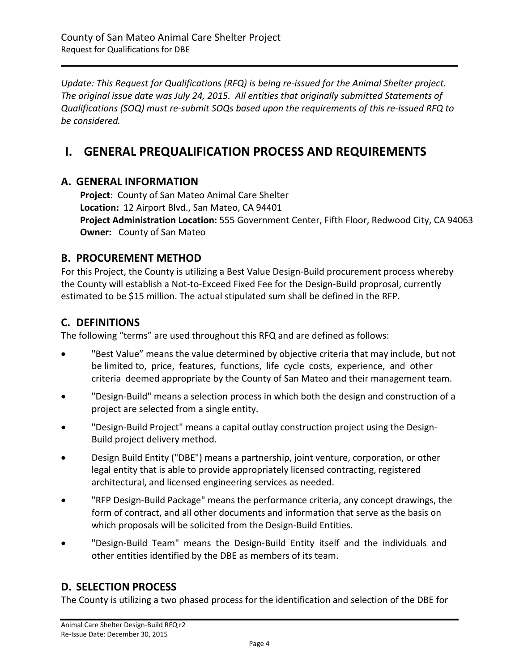*Update: This Request for Qualifications (RFQ) is being re-issued for the Animal Shelter project. The original issue date was July 24, 2015. All entities that originally submitted Statements of Qualifications (SOQ) must re-submit SOQs based upon the requirements of this re-issued RFQ to be considered.* 

# <span id="page-3-0"></span>**I. GENERAL PREQUALIFICATION PROCESS AND REQUIREMENTS**

# <span id="page-3-1"></span>**A. GENERAL INFORMATION**

**Project**: County of San Mateo Animal Care Shelter **Location:** 12 Airport Blvd., San Mateo, CA 94401 **Project Administration Location:** 555 Government Center, Fifth Floor, Redwood City, CA 94063 **Owner:** County of San Mateo

# <span id="page-3-2"></span>**B. PROCUREMENT METHOD**

For this Project, the County is utilizing a Best Value Design-Build procurement process whereby the County will establish a Not-to-Exceed Fixed Fee for the Design-Build proprosal, currently estimated to be \$15 million. The actual stipulated sum shall be defined in the RFP.

# <span id="page-3-3"></span>**C. DEFINITIONS**

The following "terms" are used throughout this RFQ and are defined as follows:

- "Best Value" means the value determined by objective criteria that may include, but not be limited to, price, features, functions, life cycle costs, experience, and other criteria deemed appropriate by the County of San Mateo and their management team.
- "Design-Build" means a selection process in which both the design and construction of a project are selected from a single entity.
- "Design-Build Project" means a capital outlay construction project using the Design-Build project delivery method.
- Design Build Entity ("DBE") means a partnership, joint venture, corporation, or other legal entity that is able to provide appropriately licensed contracting, registered architectural, and licensed engineering services as needed.
- "RFP Design-Build Package" means the performance criteria, any concept drawings, the form of contract, and all other documents and information that serve as the basis on which proposals will be solicited from the Design-Build Entities.
- "Design-Build Team" means the Design-Build Entity itself and the individuals and other entities identified by the DBE as members of its team.

# <span id="page-3-4"></span>**D. SELECTION PROCESS**

The County is utilizing a two phased process for the identification and selection of the DBE for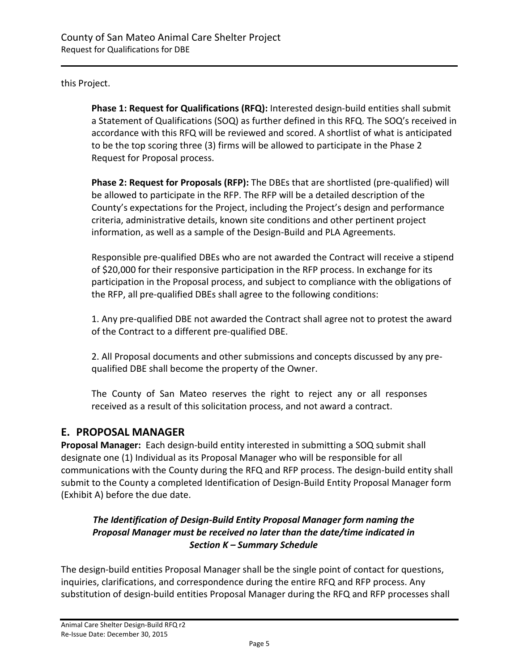this Project.

**Phase 1: Request for Qualifications (RFQ):** Interested design-build entities shall submit a Statement of Qualifications (SOQ) as further defined in this RFQ. The SOQ's received in accordance with this RFQ will be reviewed and scored. A shortlist of what is anticipated to be the top scoring three (3) firms will be allowed to participate in the Phase 2 Request for Proposal process.

**Phase 2: Request for Proposals (RFP):** The DBEs that are shortlisted (pre-qualified) will be allowed to participate in the RFP. The RFP will be a detailed description of the County's expectations for the Project, including the Project's design and performance criteria, administrative details, known site conditions and other pertinent project information, as well as a sample of the Design-Build and PLA Agreements.

Responsible pre-qualified DBEs who are not awarded the Contract will receive a stipend of \$20,000 for their responsive participation in the RFP process. In exchange for its participation in the Proposal process, and subject to compliance with the obligations of the RFP, all pre-qualified DBEs shall agree to the following conditions:

1. Any pre-qualified DBE not awarded the Contract shall agree not to protest the award of the Contract to a different pre-qualified DBE.

2. All Proposal documents and other submissions and concepts discussed by any prequalified DBE shall become the property of the Owner.

The County of San Mateo reserves the right to reject any or all responses received as a result of this solicitation process, and not award a contract.

# <span id="page-4-0"></span>**E. PROPOSAL MANAGER**

**Proposal Manager:** Each design-build entity interested in submitting a SOQ submit shall designate one (1) Individual as its Proposal Manager who will be responsible for all communications with the County during the RFQ and RFP process. The design-build entity shall submit to the County a completed Identification of Design-Build Entity Proposal Manager form (Exhibit A) before the due date.

## *The Identification of Design-Build Entity Proposal Manager form naming the Proposal Manager must be received no later than the date/time indicated in Section K – Summary Schedule*

The design-build entities Proposal Manager shall be the single point of contact for questions, inquiries, clarifications, and correspondence during the entire RFQ and RFP process. Any substitution of design-build entities Proposal Manager during the RFQ and RFP processes shall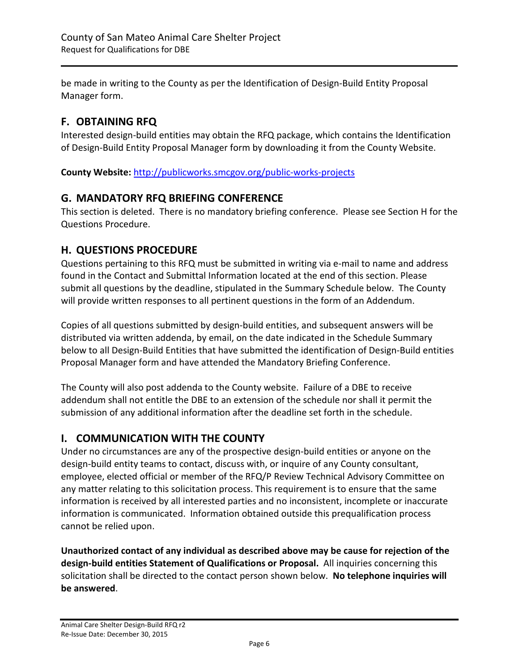be made in writing to the County as per the Identification of Design-Build Entity Proposal Manager form.

# <span id="page-5-0"></span>**F. OBTAINING RFQ**

Interested design-build entities may obtain the RFQ package, which contains the Identification of Design-Build Entity Proposal Manager form by downloading it from the County Website.

**County Website:** <http://publicworks.smcgov.org/public-works-projects>

# <span id="page-5-1"></span>**G. MANDATORY RFQ BRIEFING CONFERENCE**

This section is deleted. There is no mandatory briefing conference. Please see Section H for the Questions Procedure.

# <span id="page-5-2"></span>**H. QUESTIONS PROCEDURE**

Questions pertaining to this RFQ must be submitted in writing via e-mail to name and address found in the Contact and Submittal Information located at the end of this section. Please submit all questions by the deadline, stipulated in the Summary Schedule below. The County will provide written responses to all pertinent questions in the form of an Addendum.

Copies of all questions submitted by design-build entities, and subsequent answers will be distributed via written addenda, by email, on the date indicated in the Schedule Summary below to all Design-Build Entities that have submitted the identification of Design-Build entities Proposal Manager form and have attended the Mandatory Briefing Conference.

The County will also post addenda to the County website. Failure of a DBE to receive addendum shall not entitle the DBE to an extension of the schedule nor shall it permit the submission of any additional information after the deadline set forth in the schedule.

# <span id="page-5-3"></span>**I. COMMUNICATION WITH THE COUNTY**

Under no circumstances are any of the prospective design-build entities or anyone on the design-build entity teams to contact, discuss with, or inquire of any County consultant, employee, elected official or member of the RFQ/P Review Technical Advisory Committee on any matter relating to this solicitation process. This requirement is to ensure that the same information is received by all interested parties and no inconsistent, incomplete or inaccurate information is communicated. Information obtained outside this prequalification process cannot be relied upon.

**Unauthorized contact of any individual as described above may be cause for rejection of the design-build entities Statement of Qualifications or Proposal.** All inquiries concerning this solicitation shall be directed to the contact person shown below. **No telephone inquiries will be answered**.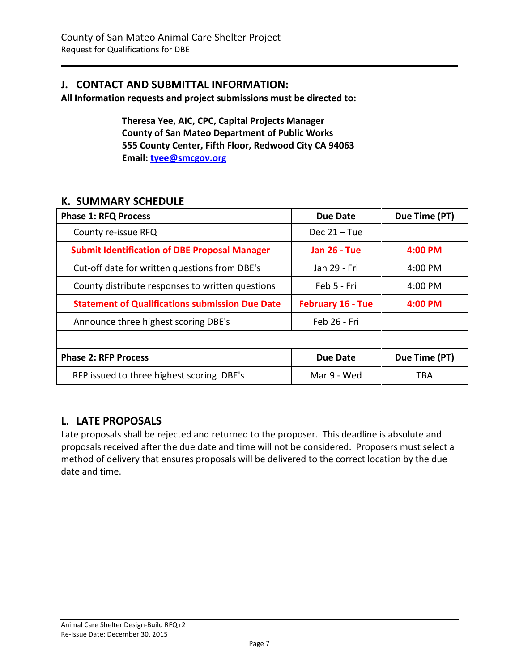# <span id="page-6-0"></span>**J. CONTACT AND SUBMITTAL INFORMATION:**

**All Information requests and project submissions must be directed to:**

**Theresa Yee, AIC, CPC, Capital Projects Manager County of San Mateo Department of Public Works 555 County Center, Fifth Floor, Redwood City CA 94063 Email: [tyee@smcgov.org](mailto:tyee@smcgov.org)**

# <span id="page-6-1"></span>**K. SUMMARY SCHEDULE**

| <b>Phase 1: RFQ Process</b>                            | Due Date                 | Due Time (PT) |
|--------------------------------------------------------|--------------------------|---------------|
| County re-issue RFQ                                    | Dec $21 -$ Tue           |               |
| <b>Submit Identification of DBE Proposal Manager</b>   | <b>Jan 26 - Tue</b>      | 4:00 PM       |
| Cut-off date for written questions from DBE's          | Jan 29 - Fri             | 4:00 PM       |
| County distribute responses to written questions       | Feb 5 - Fri              | 4:00 PM       |
| <b>Statement of Qualifications submission Due Date</b> | <b>February 16 - Tue</b> | 4:00 PM       |
| Announce three highest scoring DBE's                   | Feb 26 - Fri             |               |
|                                                        |                          |               |
| <b>Phase 2: RFP Process</b>                            | Due Date                 | Due Time (PT) |
| RFP issued to three highest scoring DBE's              | Mar 9 - Wed              | TBA           |

# <span id="page-6-2"></span>**L. LATE PROPOSALS**

Late proposals shall be rejected and returned to the proposer. This deadline is absolute and proposals received after the due date and time will not be considered. Proposers must select a method of delivery that ensures proposals will be delivered to the correct location by the due date and time.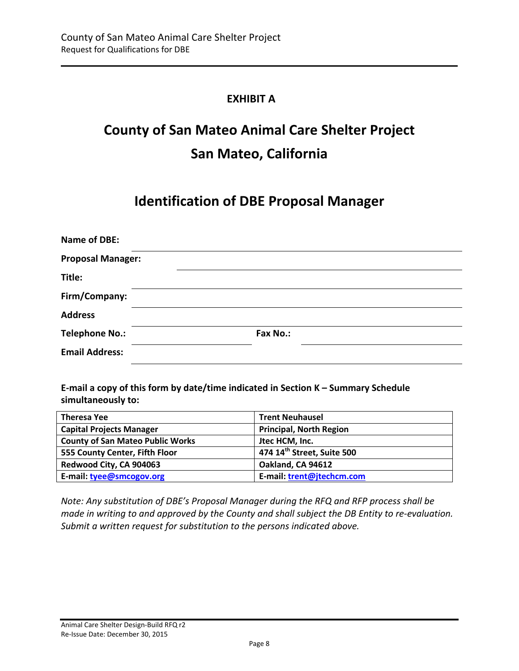# <span id="page-7-0"></span>**EXHIBIT A**

# **County of San Mateo Animal Care Shelter Project San Mateo, California**

# **Identification of DBE Proposal Manager**

| <b>Name of DBE:</b>      |          |  |  |
|--------------------------|----------|--|--|
| <b>Proposal Manager:</b> |          |  |  |
| Title:                   |          |  |  |
| Firm/Company:            |          |  |  |
| <b>Address</b>           |          |  |  |
| <b>Telephone No.:</b>    | Fax No.: |  |  |
| <b>Email Address:</b>    |          |  |  |

**E-mail a copy of this form by date/time indicated in Section K – Summary Schedule simultaneously to:**

| <b>Theresa Yee</b>                      | <b>Trent Neuhausel</b>                 |
|-----------------------------------------|----------------------------------------|
| <b>Capital Projects Manager</b>         | <b>Principal, North Region</b>         |
| <b>County of San Mateo Public Works</b> | Jtec HCM, Inc.                         |
| 555 County Center, Fifth Floor          | 474 14 <sup>th</sup> Street, Suite 500 |
| Redwood City, CA 904063                 | Oakland, CA 94612                      |
| E-mail: tyee@smcogov.org                | E-mail: trent@jtechcm.com              |

*Note: Any substitution of DBE's Proposal Manager during the RFQ and RFP process shall be made in writing to and approved by the County and shall subject the DB Entity to re-evaluation. Submit a written request for substitution to the persons indicated above.*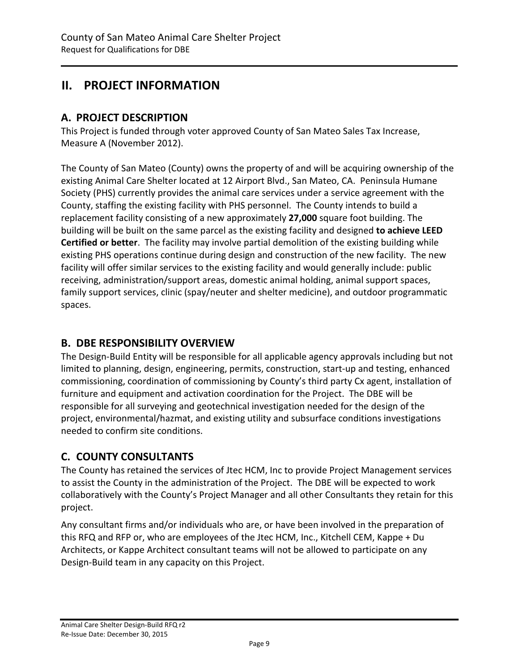# <span id="page-8-0"></span>**II. PROJECT INFORMATION**

# <span id="page-8-1"></span>**A. PROJECT DESCRIPTION**

This Project is funded through voter approved County of San Mateo Sales Tax Increase, Measure A (November 2012).

The County of San Mateo (County) owns the property of and will be acquiring ownership of the existing Animal Care Shelter located at 12 Airport Blvd., San Mateo, CA. Peninsula Humane Society (PHS) currently provides the animal care services under a service agreement with the County, staffing the existing facility with PHS personnel. The County intends to build a replacement facility consisting of a new approximately **27,000** square foot building. The building will be built on the same parcel as the existing facility and designed **to achieve LEED Certified or better**. The facility may involve partial demolition of the existing building while existing PHS operations continue during design and construction of the new facility. The new facility will offer similar services to the existing facility and would generally include: public receiving, administration/support areas, domestic animal holding, animal support spaces, family support services, clinic (spay/neuter and shelter medicine), and outdoor programmatic spaces.

# <span id="page-8-2"></span>**B. DBE RESPONSIBILITY OVERVIEW**

The Design-Build Entity will be responsible for all applicable agency approvals including but not limited to planning, design, engineering, permits, construction, start-up and testing, enhanced commissioning, coordination of commissioning by County's third party Cx agent, installation of furniture and equipment and activation coordination for the Project. The DBE will be responsible for all surveying and geotechnical investigation needed for the design of the project, environmental/hazmat, and existing utility and subsurface conditions investigations needed to confirm site conditions.

# <span id="page-8-3"></span>**C. COUNTY CONSULTANTS**

The County has retained the services of Jtec HCM, Inc to provide Project Management services to assist the County in the administration of the Project. The DBE will be expected to work collaboratively with the County's Project Manager and all other Consultants they retain for this project.

Any consultant firms and/or individuals who are, or have been involved in the preparation of this RFQ and RFP or, who are employees of the Jtec HCM, Inc., Kitchell CEM, Kappe + Du Architects, or Kappe Architect consultant teams will not be allowed to participate on any Design-Build team in any capacity on this Project.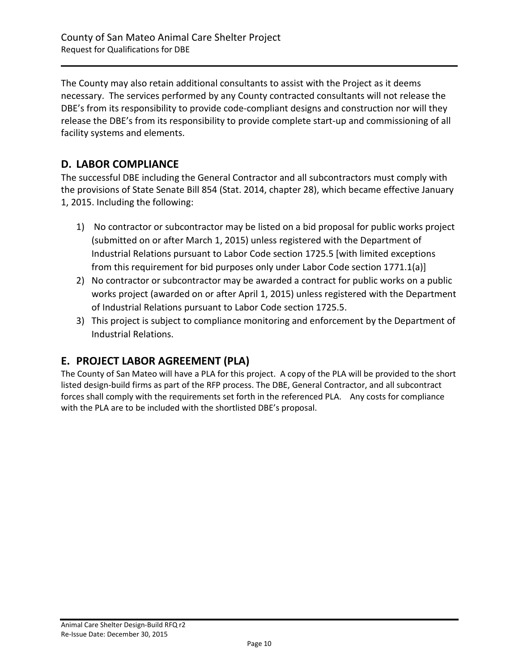The County may also retain additional consultants to assist with the Project as it deems necessary. The services performed by any County contracted consultants will not release the DBE's from its responsibility to provide code-compliant designs and construction nor will they release the DBE's from its responsibility to provide complete start-up and commissioning of all facility systems and elements.

# <span id="page-9-0"></span>**D. LABOR COMPLIANCE**

The successful DBE including the General Contractor and all subcontractors must comply with the provisions of State Senate Bill 854 (Stat. 2014, chapter 28), which became effective January 1, 2015. Including the following:

- 1) No contractor or subcontractor may be listed on a bid proposal for public works project (submitted on or after March 1, 2015) unless registered with the Department of Industrial Relations pursuant to Labor Code section 1725.5 [with limited exceptions from this requirement for bid purposes only under Labor Code section 1771.1(a)]
- 2) No contractor or subcontractor may be awarded a contract for public works on a public works project (awarded on or after April 1, 2015) unless registered with the Department of Industrial Relations pursuant to Labor Code section 1725.5.
- 3) This project is subject to compliance monitoring and enforcement by the Department of Industrial Relations.

# <span id="page-9-1"></span>**E. PROJECT LABOR AGREEMENT (PLA)**

The County of San Mateo will have a PLA for this project. A copy of the PLA will be provided to the short listed design-build firms as part of the RFP process. The DBE, General Contractor, and all subcontract forces shall comply with the requirements set forth in the referenced PLA. Any costs for compliance with the PLA are to be included with the shortlisted DBE's proposal.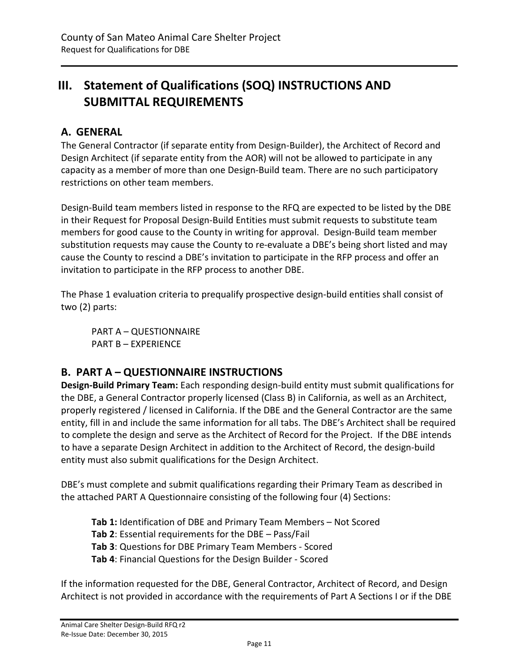# <span id="page-10-0"></span>**III. Statement of Qualifications (SOQ) INSTRUCTIONS AND SUBMITTAL REQUIREMENTS**

# <span id="page-10-1"></span>**A. GENERAL**

The General Contractor (if separate entity from Design-Builder), the Architect of Record and Design Architect (if separate entity from the AOR) will not be allowed to participate in any capacity as a member of more than one Design-Build team. There are no such participatory restrictions on other team members.

Design-Build team members listed in response to the RFQ are expected to be listed by the DBE in their Request for Proposal Design-Build Entities must submit requests to substitute team members for good cause to the County in writing for approval. Design-Build team member substitution requests may cause the County to re-evaluate a DBE's being short listed and may cause the County to rescind a DBE's invitation to participate in the RFP process and offer an invitation to participate in the RFP process to another DBE.

The Phase 1 evaluation criteria to prequalify prospective design-build entities shall consist of two (2) parts:

PART A – QUESTIONNAIRE PART B – EXPERIENCE

# <span id="page-10-2"></span>**B. PART A – QUESTIONNAIRE INSTRUCTIONS**

**Design-Build Primary Team:** Each responding design-build entity must submit qualifications for the DBE, a General Contractor properly licensed (Class B) in California, as well as an Architect, properly registered / licensed in California. If the DBE and the General Contractor are the same entity, fill in and include the same information for all tabs. The DBE's Architect shall be required to complete the design and serve as the Architect of Record for the Project. If the DBE intends to have a separate Design Architect in addition to the Architect of Record, the design-build entity must also submit qualifications for the Design Architect.

DBE's must complete and submit qualifications regarding their Primary Team as described in the attached PART A Questionnaire consisting of the following four (4) Sections:

**Tab 1:** Identification of DBE and Primary Team Members – Not Scored **Tab 2**: Essential requirements for the DBE – Pass/Fail **Tab 3**: Questions for DBE Primary Team Members - Scored **Tab 4**: Financial Questions for the Design Builder - Scored

If the information requested for the DBE, General Contractor, Architect of Record, and Design Architect is not provided in accordance with the requirements of Part A Sections I or if the DBE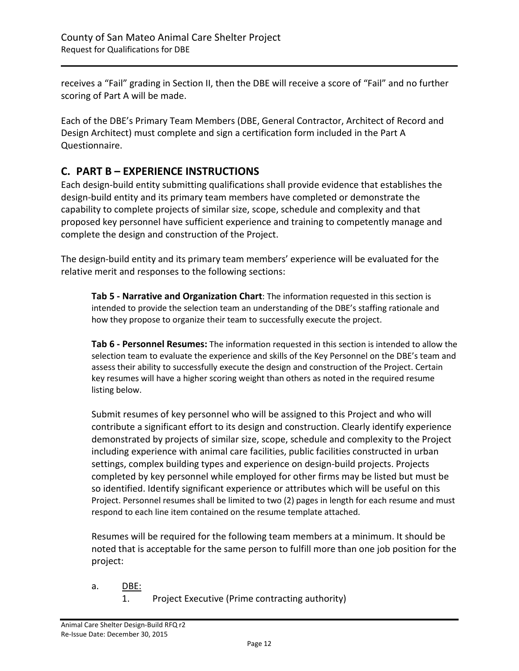receives a "Fail" grading in Section II, then the DBE will receive a score of "Fail" and no further scoring of Part A will be made.

Each of the DBE's Primary Team Members (DBE, General Contractor, Architect of Record and Design Architect) must complete and sign a certification form included in the Part A Questionnaire.

# <span id="page-11-0"></span>**C. PART B – EXPERIENCE INSTRUCTIONS**

Each design-build entity submitting qualifications shall provide evidence that establishes the design-build entity and its primary team members have completed or demonstrate the capability to complete projects of similar size, scope, schedule and complexity and that proposed key personnel have sufficient experience and training to competently manage and complete the design and construction of the Project.

The design-build entity and its primary team members' experience will be evaluated for the relative merit and responses to the following sections:

**Tab 5 - Narrative and Organization Chart**: The information requested in this section is intended to provide the selection team an understanding of the DBE's staffing rationale and how they propose to organize their team to successfully execute the project.

**Tab 6 - Personnel Resumes:** The information requested in this section is intended to allow the selection team to evaluate the experience and skills of the Key Personnel on the DBE's team and assess their ability to successfully execute the design and construction of the Project. Certain key resumes will have a higher scoring weight than others as noted in the required resume listing below.

Submit resumes of key personnel who will be assigned to this Project and who will contribute a significant effort to its design and construction. Clearly identify experience demonstrated by projects of similar size, scope, schedule and complexity to the Project including experience with animal care facilities, public facilities constructed in urban settings, complex building types and experience on design-build projects. Projects completed by key personnel while employed for other firms may be listed but must be so identified. Identify significant experience or attributes which will be useful on this Project. Personnel resumes shall be limited to two (2) pages in length for each resume and must respond to each line item contained on the resume template attached.

Resumes will be required for the following team members at a minimum. It should be noted that is acceptable for the same person to fulfill more than one job position for the project:

- a. DBE:
	- 1. Project Executive (Prime contracting authority)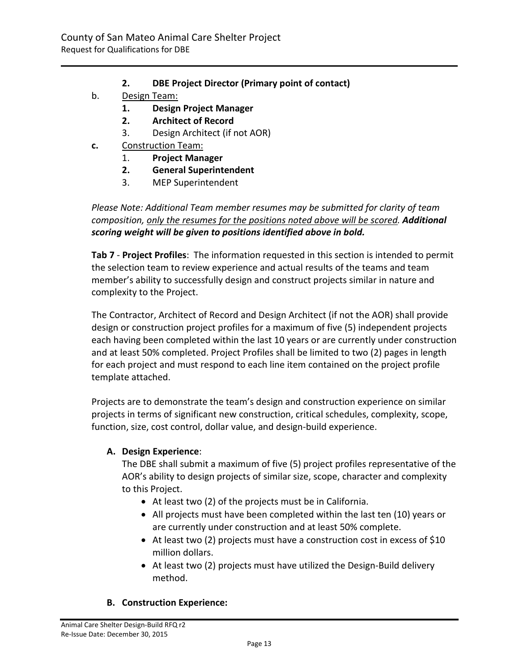- **2. DBE Project Director (Primary point of contact)**
- b. Design Team:
	- **1. Design Project Manager**
	- **2. Architect of Record**
	- 3. Design Architect (if not AOR)
- **c.** Construction Team:
	- 1. **Project Manager**
	- **2. General Superintendent**
	- 3. MEP Superintendent

*Please Note: Additional Team member resumes may be submitted for clarity of team composition, only the resumes for the positions noted above will be scored. Additional scoring weight will be given to positions identified above in bold.*

**Tab 7** - **Project Profiles**: The information requested in this section is intended to permit the selection team to review experience and actual results of the teams and team member's ability to successfully design and construct projects similar in nature and complexity to the Project.

The Contractor, Architect of Record and Design Architect (if not the AOR) shall provide design or construction project profiles for a maximum of five (5) independent projects each having been completed within the last 10 years or are currently under construction and at least 50% completed. Project Profiles shall be limited to two (2) pages in length for each project and must respond to each line item contained on the project profile template attached.

Projects are to demonstrate the team's design and construction experience on similar projects in terms of significant new construction, critical schedules, complexity, scope, function, size, cost control, dollar value, and design-build experience.

### **A. Design Experience**:

The DBE shall submit a maximum of five (5) project profiles representative of the AOR's ability to design projects of similar size, scope, character and complexity to this Project.

- At least two (2) of the projects must be in California.
- All projects must have been completed within the last ten (10) years or are currently under construction and at least 50% complete.
- At least two (2) projects must have a construction cost in excess of \$10 million dollars.
- At least two (2) projects must have utilized the Design-Build delivery method.

### **B. Construction Experience:**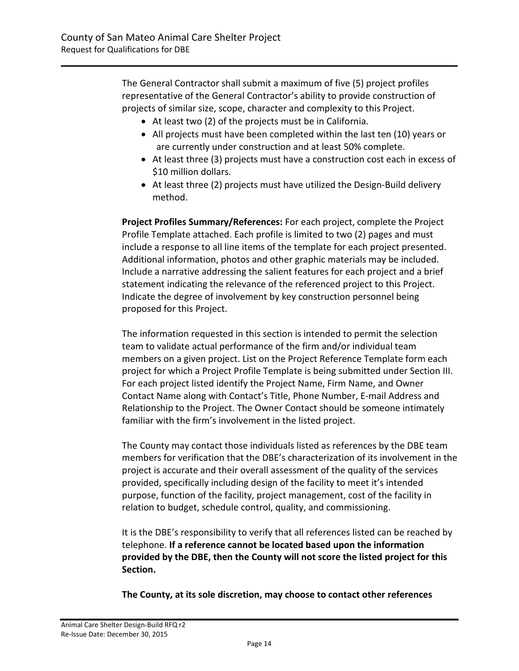The General Contractor shall submit a maximum of five (5) project profiles representative of the General Contractor's ability to provide construction of projects of similar size, scope, character and complexity to this Project.

- At least two (2) of the projects must be in California.
- All projects must have been completed within the last ten (10) years or are currently under construction and at least 50% complete.
- At least three (3) projects must have a construction cost each in excess of \$10 million dollars.
- At least three (2) projects must have utilized the Design-Build delivery method.

**Project Profiles Summary/References:** For each project, complete the Project Profile Template attached. Each profile is limited to two (2) pages and must include a response to all line items of the template for each project presented. Additional information, photos and other graphic materials may be included. Include a narrative addressing the salient features for each project and a brief statement indicating the relevance of the referenced project to this Project. Indicate the degree of involvement by key construction personnel being proposed for this Project.

The information requested in this section is intended to permit the selection team to validate actual performance of the firm and/or individual team members on a given project. List on the Project Reference Template form each project for which a Project Profile Template is being submitted under Section III. For each project listed identify the Project Name, Firm Name, and Owner Contact Name along with Contact's Title, Phone Number, E-mail Address and Relationship to the Project. The Owner Contact should be someone intimately familiar with the firm's involvement in the listed project.

The County may contact those individuals listed as references by the DBE team members for verification that the DBE's characterization of its involvement in the project is accurate and their overall assessment of the quality of the services provided, specifically including design of the facility to meet it's intended purpose, function of the facility, project management, cost of the facility in relation to budget, schedule control, quality, and commissioning.

It is the DBE's responsibility to verify that all references listed can be reached by telephone. **If a reference cannot be located based upon the information provided by the DBE, then the County will not score the listed project for this Section.**

**The County, at its sole discretion, may choose to contact other references**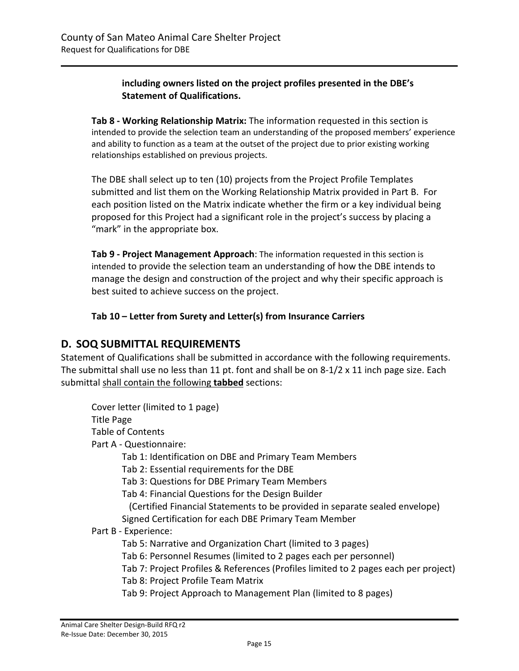### **including owners listed on the project profiles presented in the DBE's Statement of Qualifications.**

**Tab 8 - Working Relationship Matrix:** The information requested in this section is intended to provide the selection team an understanding of the proposed members' experience and ability to function as a team at the outset of the project due to prior existing working relationships established on previous projects.

The DBE shall select up to ten (10) projects from the Project Profile Templates submitted and list them on the Working Relationship Matrix provided in Part B. For each position listed on the Matrix indicate whether the firm or a key individual being proposed for this Project had a significant role in the project's success by placing a "mark" in the appropriate box.

**Tab 9 - Project Management Approach**: The information requested in this section is intended to provide the selection team an understanding of how the DBE intends to manage the design and construction of the project and why their specific approach is best suited to achieve success on the project.

**Tab 10 – Letter from Surety and Letter(s) from Insurance Carriers**

# <span id="page-14-0"></span>**D. SOQ SUBMITTAL REQUIREMENTS**

Statement of Qualifications shall be submitted in accordance with the following requirements. The submittal shall use no less than 11 pt. font and shall be on 8-1/2 x 11 inch page size. Each submittal shall contain the following **tabbed** sections:

Cover letter (limited to 1 page) Title Page Table of Contents Part A - Questionnaire: Tab 1: Identification on DBE and Primary Team Members Tab 2: Essential requirements for the DBE Tab 3: Questions for DBE Primary Team Members Tab 4: Financial Questions for the Design Builder (Certified Financial Statements to be provided in separate sealed envelope) Signed Certification for each DBE Primary Team Member Part B - Experience: Tab 5: Narrative and Organization Chart (limited to 3 pages) Tab 6: Personnel Resumes (limited to 2 pages each per personnel) Tab 7: Project Profiles & References (Profiles limited to 2 pages each per project) Tab 8: Project Profile Team Matrix Tab 9: Project Approach to Management Plan (limited to 8 pages)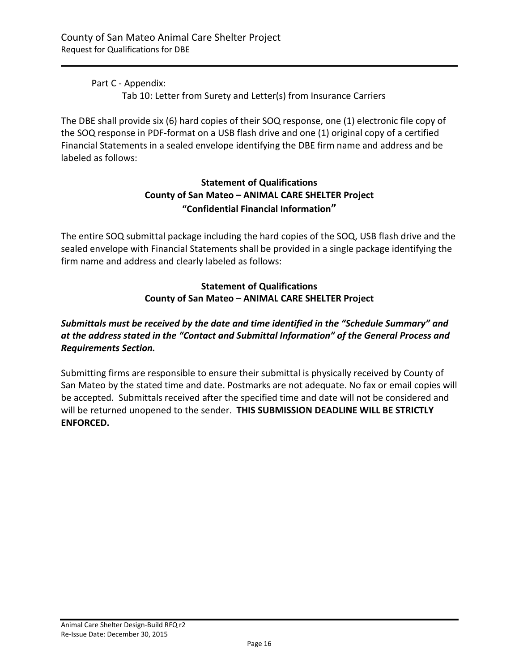Part C - Appendix: Tab 10: Letter from Surety and Letter(s) from Insurance Carriers

The DBE shall provide six (6) hard copies of their SOQ response, one (1) electronic file copy of the SOQ response in PDF-format on a USB flash drive and one (1) original copy of a certified Financial Statements in a sealed envelope identifying the DBE firm name and address and be labeled as follows:

## **Statement of Qualifications County of San Mateo – ANIMAL CARE SHELTER Project "Confidential Financial Information"**

The entire SOQ submittal package including the hard copies of the SOQ, USB flash drive and the sealed envelope with Financial Statements shall be provided in a single package identifying the firm name and address and clearly labeled as follows:

## **Statement of Qualifications County of San Mateo – ANIMAL CARE SHELTER Project**

# *Submittals must be received by the date and time identified in the "Schedule Summary" and at the address stated in the "Contact and Submittal Information" of the General Process and Requirements Section.*

Submitting firms are responsible to ensure their submittal is physically received by County of San Mateo by the stated time and date. Postmarks are not adequate. No fax or email copies will be accepted. Submittals received after the specified time and date will not be considered and will be returned unopened to the sender. **THIS SUBMISSION DEADLINE WILL BE STRICTLY ENFORCED.**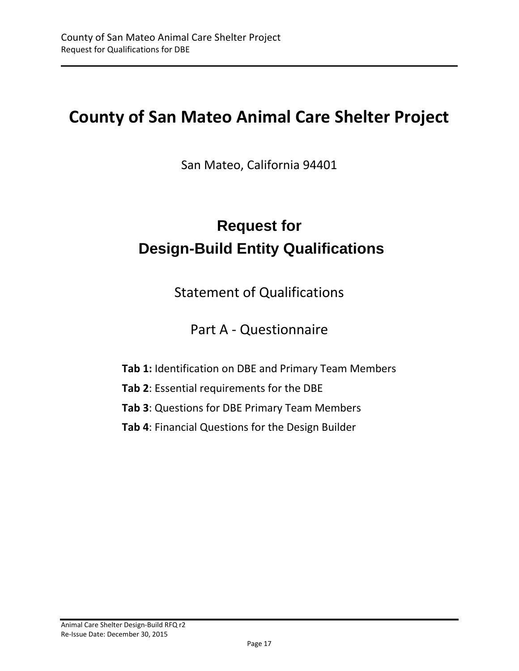# **County of San Mateo Animal Care Shelter Project**

San Mateo, California 94401

# **Request for Design-Build Entity Qualifications**

Statement of Qualifications

# Part A - Questionnaire

- **Tab 1:** Identification on DBE and Primary Team Members
- **Tab 2**: Essential requirements for the DBE
- **Tab 3**: Questions for DBE Primary Team Members
- **Tab 4**: Financial Questions for the Design Builder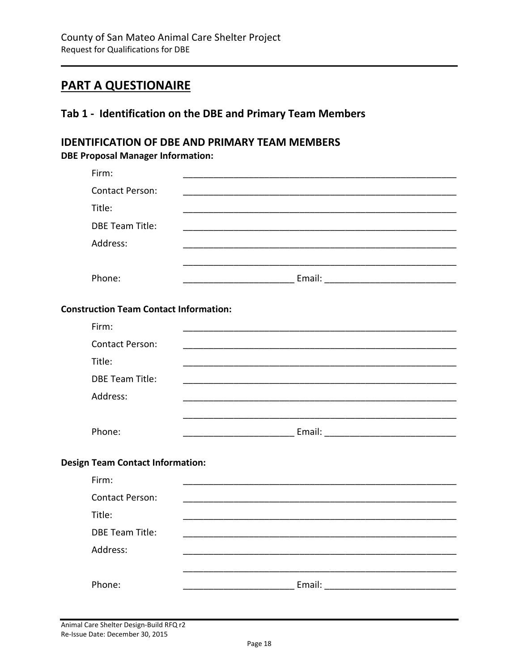# **PART A QUESTIONAIRE**

# <span id="page-17-0"></span>Tab 1 - Identification on the DBE and Primary Team Members

# **IDENTIFICATION OF DBE AND PRIMARY TEAM MEMBERS DBE Proposal Manager Information:**

| Firm:                                         |  |
|-----------------------------------------------|--|
| <b>Contact Person:</b>                        |  |
| Title:                                        |  |
| <b>DBE Team Title:</b>                        |  |
| Address:                                      |  |
|                                               |  |
| Phone:                                        |  |
| <b>Construction Team Contact Information:</b> |  |
| Firm:                                         |  |
| <b>Contact Person:</b>                        |  |
| Title:                                        |  |
| <b>DBE Team Title:</b>                        |  |
| Address:                                      |  |
|                                               |  |
| Phone:                                        |  |
|                                               |  |
| <b>Design Team Contact Information:</b>       |  |
| Firm:                                         |  |
| <b>Contact Person:</b>                        |  |
| Title:                                        |  |
| <b>DBE Team Title:</b>                        |  |
| Address:                                      |  |
|                                               |  |
| Phone:                                        |  |
|                                               |  |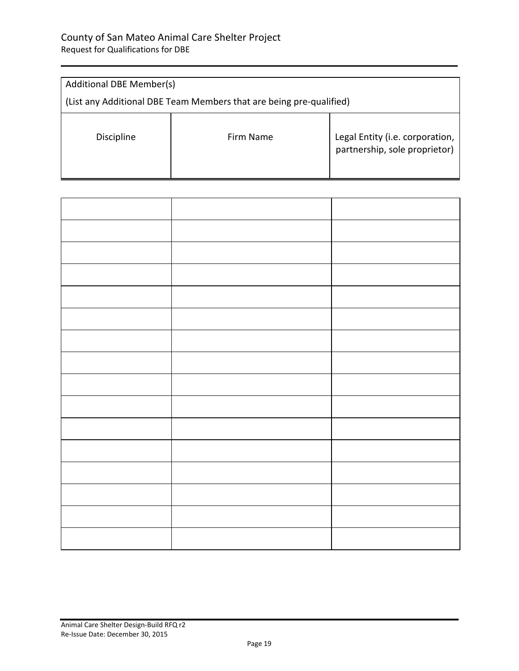| <b>Additional DBE Member(s)</b>                                     |           |                                                                  |  |
|---------------------------------------------------------------------|-----------|------------------------------------------------------------------|--|
| (List any Additional DBE Team Members that are being pre-qualified) |           |                                                                  |  |
| <b>Discipline</b>                                                   | Firm Name | Legal Entity (i.e. corporation,<br>partnership, sole proprietor) |  |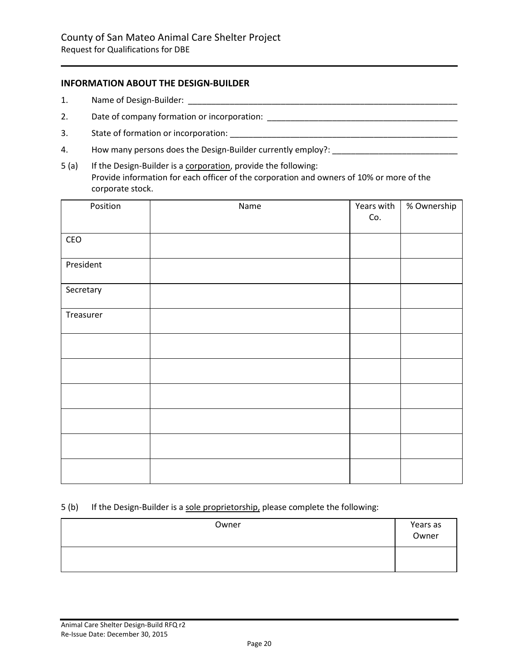### **INFORMATION ABOUT THE DESIGN-BUILDER**

- 1. Name of Design-Builder: \_\_\_\_\_\_\_\_\_\_\_\_\_\_\_\_\_\_\_\_\_\_\_\_\_\_\_\_\_\_\_\_\_\_\_\_\_\_\_\_\_\_\_\_\_\_\_\_\_\_\_\_\_\_\_\_\_\_
- 2. Date of company formation or incorporation:
- 3. State of formation or incorporation: \_\_\_\_\_\_\_\_\_\_\_\_\_\_\_\_\_\_\_\_\_\_\_\_\_\_\_\_\_\_\_\_\_\_\_\_\_\_\_\_\_\_\_\_\_\_\_\_\_
- 4. How many persons does the Design-Builder currently employ?:
- 5 (a) If the Design-Builder is a corporation, provide the following: Provide information for each officer of the corporation and owners of 10% or more of the corporate stock.

| Position  | Name | Years with | % Ownership |
|-----------|------|------------|-------------|
|           |      | Co.        |             |
| CEO       |      |            |             |
| President |      |            |             |
| Secretary |      |            |             |
| Treasurer |      |            |             |
|           |      |            |             |
|           |      |            |             |
|           |      |            |             |
|           |      |            |             |
|           |      |            |             |
|           |      |            |             |

### 5 (b) If the Design-Builder is a sole proprietorship, please complete the following:

| Owner | Years as<br>Owner |
|-------|-------------------|
|       |                   |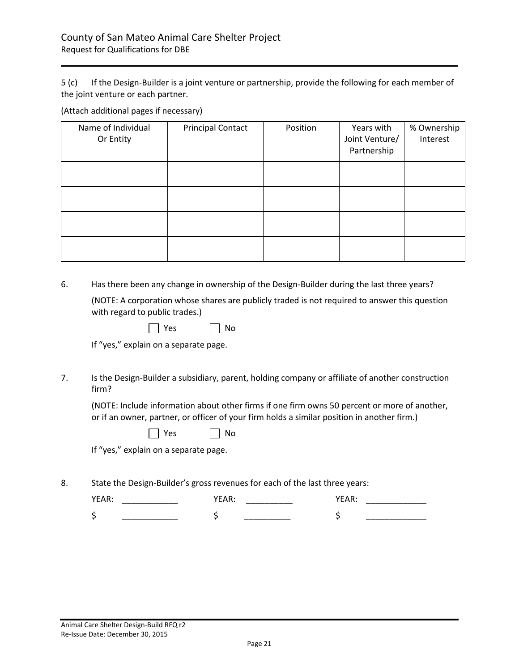5 (c) If the Design-Builder is a joint venture or partnership, provide the following for each member of the joint venture or each partner.

(Attach additional pages if necessary)

| Name of Individual<br>Or Entity | <b>Principal Contact</b> | Position | Years with<br>Joint Venture/<br>Partnership | % Ownership<br>Interest |
|---------------------------------|--------------------------|----------|---------------------------------------------|-------------------------|
|                                 |                          |          |                                             |                         |
|                                 |                          |          |                                             |                         |
|                                 |                          |          |                                             |                         |
|                                 |                          |          |                                             |                         |

6. Has there been any change in ownership of the Design-Builder during the last three years?

(NOTE: A corporation whose shares are publicly traded is not required to answer this question with regard to public trades.)

| $\sim$ | n<br>۱ı |
|--------|---------|
|--------|---------|

If "yes," explain on a separate page.

7. Is the Design-Builder a subsidiary, parent, holding company or affiliate of another construction firm?

(NOTE: Include information about other firms if one firm owns 50 percent or more of another, or if an owner, partner, or officer of your firm holds a similar position in another firm.)

| $\sim$ | N٥ |
|--------|----|
|--------|----|

If "yes," explain on a separate page.

8. State the Design-Builder's gross revenues for each of the last three years: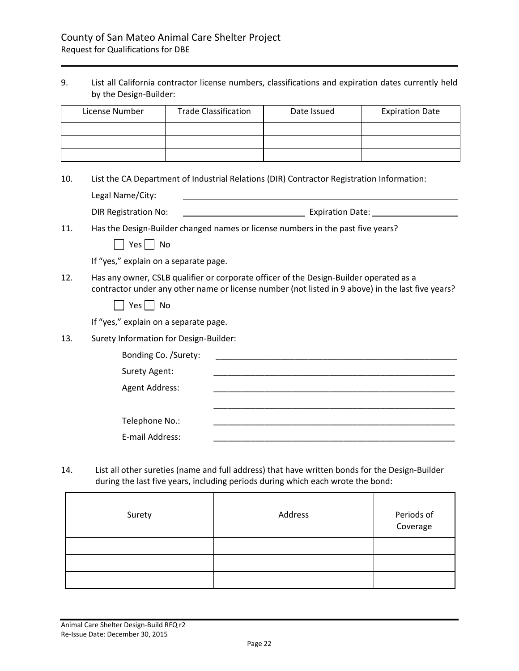### 9. List all California contractor license numbers, classifications and expiration dates currently held by the Design-Builder:

| License Number | <b>Trade Classification</b> | Date Issued | <b>Expiration Date</b> |
|----------------|-----------------------------|-------------|------------------------|
|                |                             |             |                        |
|                |                             |             |                        |
|                |                             |             |                        |

#### 10. List the CA Department of Industrial Relations (DIR) Contractor Registration Information:

|     | Legal Name/City:                       |                                                                                                                                                                                             |
|-----|----------------------------------------|---------------------------------------------------------------------------------------------------------------------------------------------------------------------------------------------|
|     | <b>DIR Registration No:</b>            | Expiration Date: 1997<br><u> 1990 - Johann John Stone, markin san</u>                                                                                                                       |
| 11. |                                        | Has the Design-Builder changed names or license numbers in the past five years?                                                                                                             |
|     | $Yes \mid \mid No$                     |                                                                                                                                                                                             |
|     | If "yes," explain on a separate page.  |                                                                                                                                                                                             |
| 12. |                                        | Has any owner, CSLB qualifier or corporate officer of the Design-Builder operated as a<br>contractor under any other name or license number (not listed in 9 above) in the last five years? |
|     | Yes  <br>$\mid$ No                     |                                                                                                                                                                                             |
|     | If "yes," explain on a separate page.  |                                                                                                                                                                                             |
| 13. | Surety Information for Design-Builder: |                                                                                                                                                                                             |
|     | Bonding Co. /Surety:                   |                                                                                                                                                                                             |
|     | <b>Surety Agent:</b>                   | <u> 1989 - Johann John Stoff, deutscher Stoffen und der Stoffen und der Stoffen und der Stoffen und der Stoffen u</u>                                                                       |
|     | Agent Address:                         |                                                                                                                                                                                             |
|     |                                        |                                                                                                                                                                                             |
|     | Telephone No.:                         |                                                                                                                                                                                             |
|     | E-mail Address:                        |                                                                                                                                                                                             |

14. List all other sureties (name and full address) that have written bonds for the Design-Builder during the last five years, including periods during which each wrote the bond:

| Surety | Address | Periods of<br>Coverage |
|--------|---------|------------------------|
|        |         |                        |
|        |         |                        |
|        |         |                        |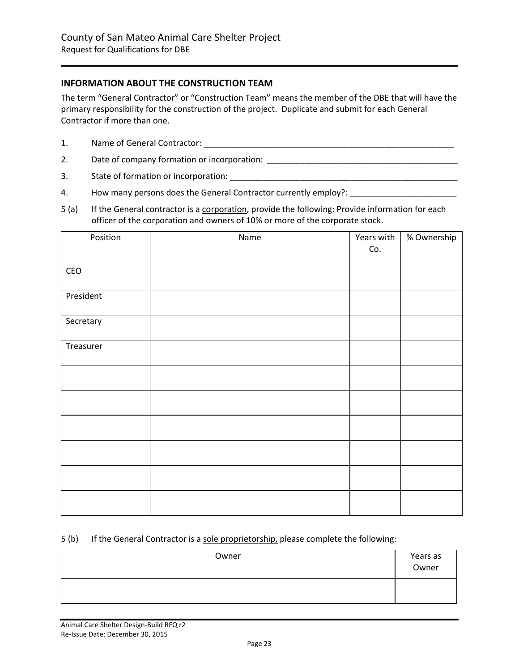### **INFORMATION ABOUT THE CONSTRUCTION TEAM**

The term "General Contractor" or "Construction Team" means the member of the DBE that will have the primary responsibility for the construction of the project. Duplicate and submit for each General Contractor if more than one.

- 1. Name of General Contractor: \_\_\_\_\_\_\_\_\_\_\_\_\_\_\_\_\_\_\_\_\_\_\_\_\_\_\_\_\_\_\_\_\_\_\_\_\_\_\_\_\_\_\_\_\_\_\_\_\_\_\_\_\_\_
- 2. Date of company formation or incorporation: \_\_\_\_\_\_\_\_\_\_\_\_\_\_\_\_\_\_\_\_\_\_\_\_\_\_\_\_\_\_\_\_\_
- 3. State of formation or incorporation: \_\_\_\_\_\_\_\_\_\_\_\_\_\_\_\_\_\_\_\_\_\_\_\_\_\_\_\_\_\_\_\_\_\_\_\_\_\_\_\_\_\_\_\_\_\_\_\_\_
- 4. How many persons does the General Contractor currently employ?:
- 5 (a) If the General contractor is a corporation, provide the following: Provide information for each officer of the corporation and owners of 10% or more of the corporate stock.

| Position  | Name | Years with | % Ownership |
|-----------|------|------------|-------------|
|           |      | Co.        |             |
| CEO       |      |            |             |
| President |      |            |             |
| Secretary |      |            |             |
| Treasurer |      |            |             |
|           |      |            |             |
|           |      |            |             |
|           |      |            |             |
|           |      |            |             |
|           |      |            |             |
|           |      |            |             |

#### 5 (b) If the General Contractor is a sole proprietorship, please complete the following:

| Owner | Years as<br>Owner |
|-------|-------------------|
|       |                   |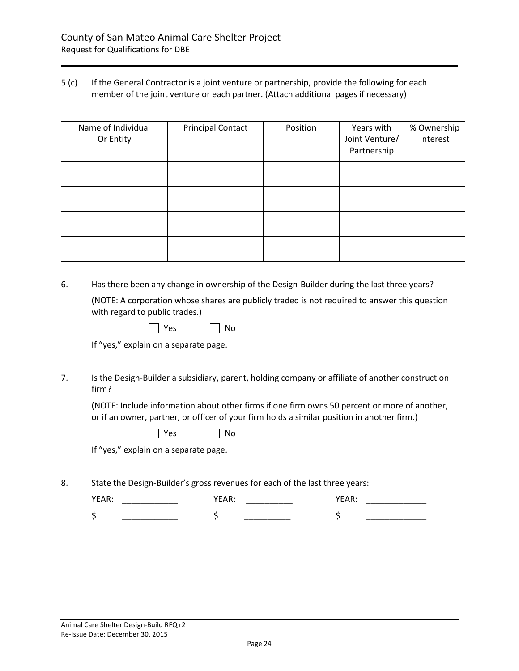### 5 (c) If the General Contractor is a joint venture or partnership, provide the following for each member of the joint venture or each partner. (Attach additional pages if necessary)

| Name of Individual<br>Or Entity | <b>Principal Contact</b> | Position | Years with<br>Joint Venture/<br>Partnership | % Ownership<br>Interest |
|---------------------------------|--------------------------|----------|---------------------------------------------|-------------------------|
|                                 |                          |          |                                             |                         |
|                                 |                          |          |                                             |                         |
|                                 |                          |          |                                             |                         |
|                                 |                          |          |                                             |                         |

6. Has there been any change in ownership of the Design-Builder during the last three years?

(NOTE: A corporation whose shares are publicly traded is not required to answer this question with regard to public trades.)

|  | n<br>N |
|--|--------|
|--|--------|

If "yes," explain on a separate page.

7. Is the Design-Builder a subsidiary, parent, holding company or affiliate of another construction firm?

(NOTE: Include information about other firms if one firm owns 50 percent or more of another, or if an owner, partner, or officer of your firm holds a similar position in another firm.)

| n c | Nο |
|-----|----|
|-----|----|

If "yes," explain on a separate page.

8. State the Design-Builder's gross revenues for each of the last three years:

| . .<br>. .<br>_ | . .<br>--<br>. . | . |
|-----------------|------------------|---|
|                 |                  |   |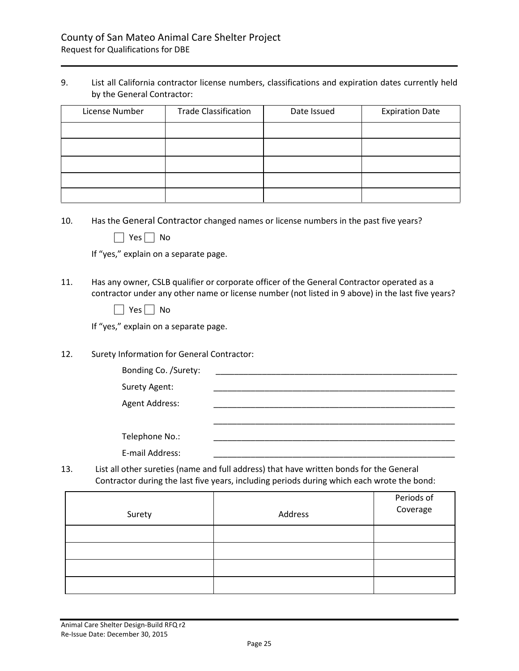9. List all California contractor license numbers, classifications and expiration dates currently held by the General Contractor:

| License Number | <b>Trade Classification</b> | Date Issued | <b>Expiration Date</b> |
|----------------|-----------------------------|-------------|------------------------|
|                |                             |             |                        |
|                |                             |             |                        |
|                |                             |             |                        |
|                |                             |             |                        |
|                |                             |             |                        |

- 10. Has the General Contractor changed names or license numbers in the past five years?
	- $\Box$  Yes  $\Box$  No

If "yes," explain on a separate page.

11. Has any owner, CSLB qualifier or corporate officer of the General Contractor operated as a contractor under any other name or license number (not listed in 9 above) in the last five years?

|  | N٥ |
|--|----|
|--|----|

If "yes," explain on a separate page.

12. Surety Information for General Contractor:

| Bonding Co. /Surety: |  |  |
|----------------------|--|--|
| Surety Agent:        |  |  |
| Agent Address:       |  |  |
|                      |  |  |
| Telephone No.:       |  |  |
| E-mail Address:      |  |  |

13. List all other sureties (name and full address) that have written bonds for the General Contractor during the last five years, including periods during which each wrote the bond:

| Surety | Address | Periods of<br>Coverage |
|--------|---------|------------------------|
|        |         |                        |
|        |         |                        |
|        |         |                        |
|        |         |                        |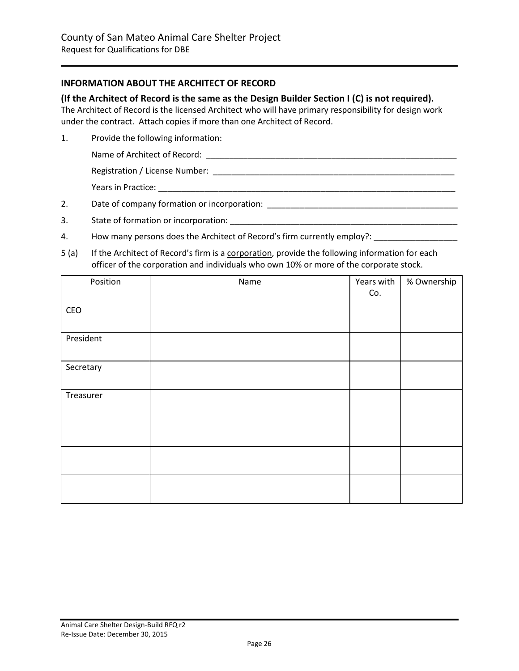### **INFORMATION ABOUT THE ARCHITECT OF RECORD**

#### **(If the Architect of Record is the same as the Design Builder Section I (C) is not required).**

The Architect of Record is the licensed Architect who will have primary responsibility for design work under the contract. Attach copies if more than one Architect of Record.

1. Provide the following information:

Name of Architect of Record: \_\_\_\_\_\_\_\_\_\_\_\_\_\_\_\_\_\_\_\_\_\_\_\_\_\_\_\_\_\_\_\_\_\_\_\_\_\_\_\_\_\_\_\_\_\_\_\_\_\_\_\_\_\_

Registration / License Number: \_\_\_\_\_\_\_\_\_\_\_\_\_\_\_\_\_\_\_\_\_\_\_\_\_\_\_\_\_\_\_\_\_\_\_\_\_\_\_\_\_\_\_\_\_\_\_\_\_\_\_\_

Years in Practice: \_\_\_\_\_\_\_\_\_\_\_\_\_\_\_\_\_\_\_\_\_\_\_\_\_\_\_\_\_\_\_\_\_\_\_\_\_\_\_\_\_\_\_\_\_\_\_\_\_\_\_\_\_\_\_\_\_\_\_\_\_\_\_\_

2. Date of company formation or incorporation: \_\_\_\_\_\_\_\_\_\_\_\_\_\_\_\_\_\_\_\_\_\_\_\_\_\_\_\_\_\_\_\_\_

- 3. State of formation or incorporation:
- 4. How many persons does the Architect of Record's firm currently employ?: \_\_\_\_\_\_\_\_\_\_\_\_\_\_\_\_\_\_\_\_\_\_\_\_
- 5 (a) If the Architect of Record's firm is a corporation, provide the following information for each officer of the corporation and individuals who own 10% or more of the corporate stock.

| Position  | Name | Years with | % Ownership |
|-----------|------|------------|-------------|
|           |      | Co.        |             |
| CEO       |      |            |             |
|           |      |            |             |
| President |      |            |             |
|           |      |            |             |
| Secretary |      |            |             |
|           |      |            |             |
| Treasurer |      |            |             |
|           |      |            |             |
|           |      |            |             |
|           |      |            |             |
|           |      |            |             |
|           |      |            |             |
|           |      |            |             |
|           |      |            |             |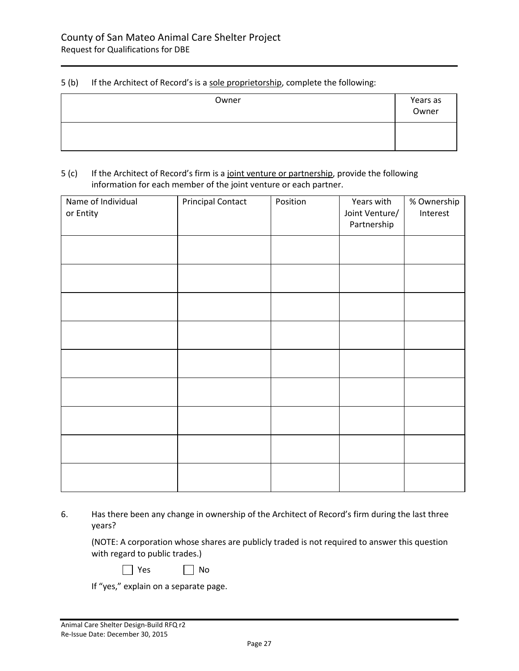### 5 (b) If the Architect of Record's is a sole proprietorship, complete the following:

| Owner | Years as<br>Owner |
|-------|-------------------|
|       |                   |

### 5 (c) If the Architect of Record's firm is a joint venture or partnership, provide the following information for each member of the joint venture or each partner.

| Name of Individual<br>or Entity | <b>Principal Contact</b> | Position | Years with<br>Joint Venture/<br>Partnership | % Ownership<br>Interest |
|---------------------------------|--------------------------|----------|---------------------------------------------|-------------------------|
|                                 |                          |          |                                             |                         |
|                                 |                          |          |                                             |                         |
|                                 |                          |          |                                             |                         |
|                                 |                          |          |                                             |                         |
|                                 |                          |          |                                             |                         |
|                                 |                          |          |                                             |                         |
|                                 |                          |          |                                             |                         |
|                                 |                          |          |                                             |                         |
|                                 |                          |          |                                             |                         |

<sup>6.</sup> Has there been any change in ownership of the Architect of Record's firm during the last three years?

(NOTE: A corporation whose shares are publicly traded is not required to answer this question with regard to public trades.)

| v.<br>n c |  |  |
|-----------|--|--|
|-----------|--|--|

N<sub>o</sub>

If "yes," explain on a separate page.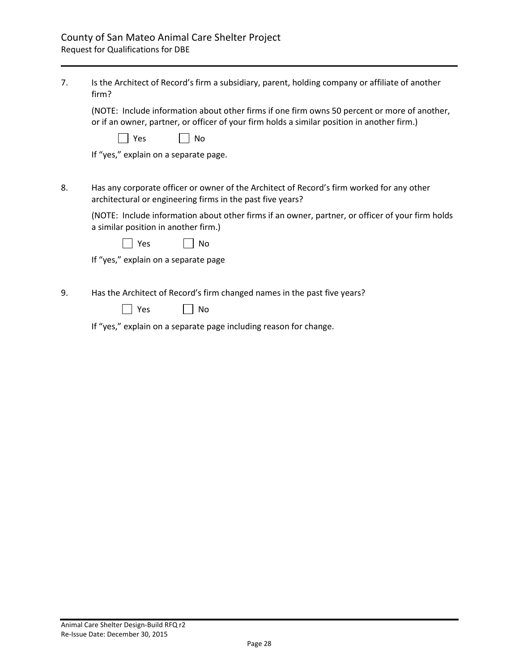| 7. | Is the Architect of Record's firm a subsidiary, parent, holding company or affiliate of another<br>firm?                                                                                    |  |  |  |  |
|----|---------------------------------------------------------------------------------------------------------------------------------------------------------------------------------------------|--|--|--|--|
|    | (NOTE: Include information about other firms if one firm owns 50 percent or more of another,<br>or if an owner, partner, or officer of your firm holds a similar position in another firm.) |  |  |  |  |
|    | Yes<br>No                                                                                                                                                                                   |  |  |  |  |
|    | If "yes," explain on a separate page.                                                                                                                                                       |  |  |  |  |
|    |                                                                                                                                                                                             |  |  |  |  |
| 8. | Has any corporate officer or owner of the Architect of Record's firm worked for any other<br>architectural or engineering firms in the past five years?                                     |  |  |  |  |
|    | (NOTE: Include information about other firms if an owner, partner, or officer of your firm holds<br>a similar position in another firm.)                                                    |  |  |  |  |
|    | Yes<br>No                                                                                                                                                                                   |  |  |  |  |
|    | If "yes," explain on a separate page                                                                                                                                                        |  |  |  |  |
|    |                                                                                                                                                                                             |  |  |  |  |
| 9. | Has the Architect of Record's firm changed names in the past five years?                                                                                                                    |  |  |  |  |
|    | Yes<br>No                                                                                                                                                                                   |  |  |  |  |
|    | If "yes," explain on a separate page including reason for change.                                                                                                                           |  |  |  |  |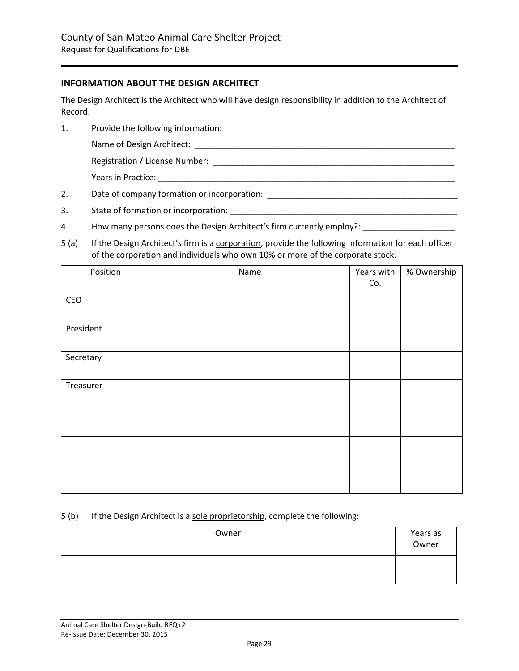### **INFORMATION ABOUT THE DESIGN ARCHITECT**

The Design Architect is the Architect who will have design responsibility in addition to the Architect of Record.

- 1. Provide the following information:
	- Name of Design Architect: **with a state of the state of the state of the state of the state of the state of the state of the state of the state of the state of the state of the state of the state of the state of the state**

Registration / License Number: \_\_\_\_\_\_\_\_\_\_\_\_\_\_\_\_\_\_\_\_\_\_\_\_\_\_\_\_\_\_\_\_\_\_\_\_\_\_\_\_\_\_\_\_\_\_\_\_\_\_\_\_

Years in Practice: **Wears Security** 

- 2. Date of company formation or incorporation: \_\_\_\_\_\_\_\_\_\_\_\_\_\_\_\_\_\_\_\_\_\_\_\_\_\_\_\_\_\_\_\_\_
- 3. State of formation or incorporation:
- 4. How many persons does the Design Architect's firm currently employ?:
- 5 (a) If the Design Architect's firm is a corporation, provide the following information for each officer of the corporation and individuals who own 10% or more of the corporate stock.

| Position  | Name | Years with | % Ownership |
|-----------|------|------------|-------------|
|           |      | Co.        |             |
| CEO       |      |            |             |
|           |      |            |             |
| President |      |            |             |
|           |      |            |             |
| Secretary |      |            |             |
|           |      |            |             |
| Treasurer |      |            |             |
|           |      |            |             |
|           |      |            |             |
|           |      |            |             |
|           |      |            |             |
|           |      |            |             |
|           |      |            |             |
|           |      |            |             |

#### 5 (b) If the Design Architect is a sole proprietorship, complete the following:

| Owner | Years as<br>Owner |
|-------|-------------------|
|       |                   |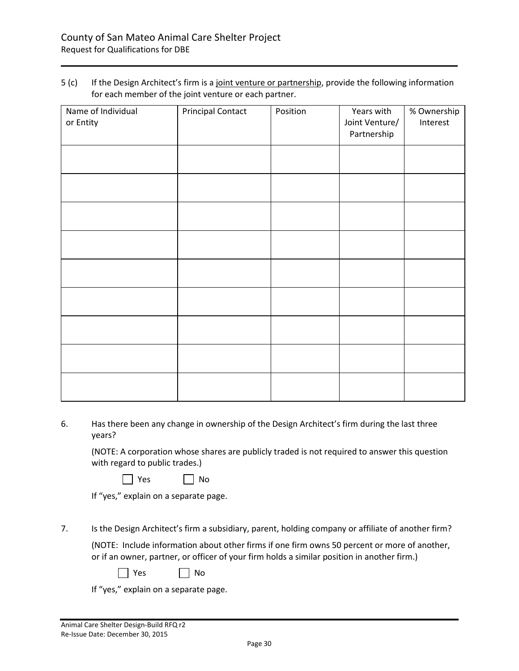5 (c) If the Design Architect's firm is a joint venture or partnership, provide the following information for each member of the joint venture or each partner.

| Name of Individual<br>or Entity | <b>Principal Contact</b> | Position | Years with<br>Joint Venture/<br>Partnership | % Ownership<br>Interest |
|---------------------------------|--------------------------|----------|---------------------------------------------|-------------------------|
|                                 |                          |          |                                             |                         |
|                                 |                          |          |                                             |                         |
|                                 |                          |          |                                             |                         |
|                                 |                          |          |                                             |                         |
|                                 |                          |          |                                             |                         |
|                                 |                          |          |                                             |                         |
|                                 |                          |          |                                             |                         |
|                                 |                          |          |                                             |                         |
|                                 |                          |          |                                             |                         |

6. Has there been any change in ownership of the Design Architect's firm during the last three years?

(NOTE: A corporation whose shares are publicly traded is not required to answer this question with regard to public trades.)

| Yes | No |
|-----|----|
|-----|----|

If "yes," explain on a separate page.

7. Is the Design Architect's firm a subsidiary, parent, holding company or affiliate of another firm?

(NOTE: Include information about other firms if one firm owns 50 percent or more of another, or if an owner, partner, or officer of your firm holds a similar position in another firm.)

|  | Yes |  | No |
|--|-----|--|----|
|--|-----|--|----|

If "yes," explain on a separate page.

Г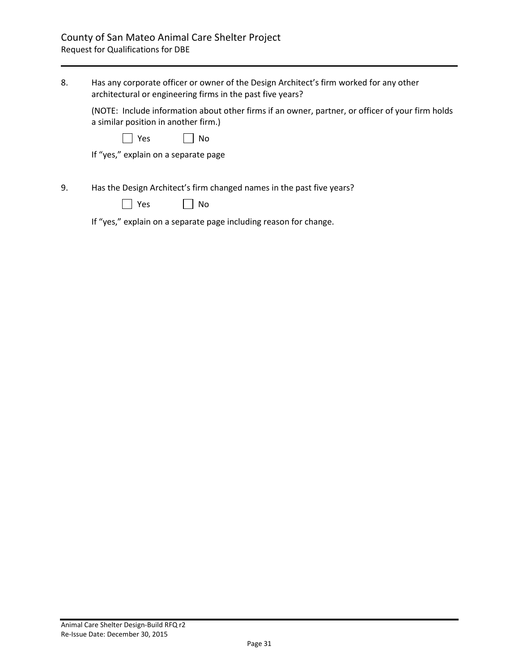| 8. | Has any corporate officer or owner of the Design Architect's firm worked for any other<br>architectural or engineering firms in the past five years? |
|----|------------------------------------------------------------------------------------------------------------------------------------------------------|
|    | (NOTE: Include information about other firms if an owner, partner, or officer of your firm holds<br>a similar position in another firm.)             |
|    | Yes<br>No                                                                                                                                            |
|    | If "yes," explain on a separate page                                                                                                                 |
| 9. | Has the Design Architect's firm changed names in the past five years?<br>Yes<br>No                                                                   |
|    | If "yes," explain on a separate page including reason for change.                                                                                    |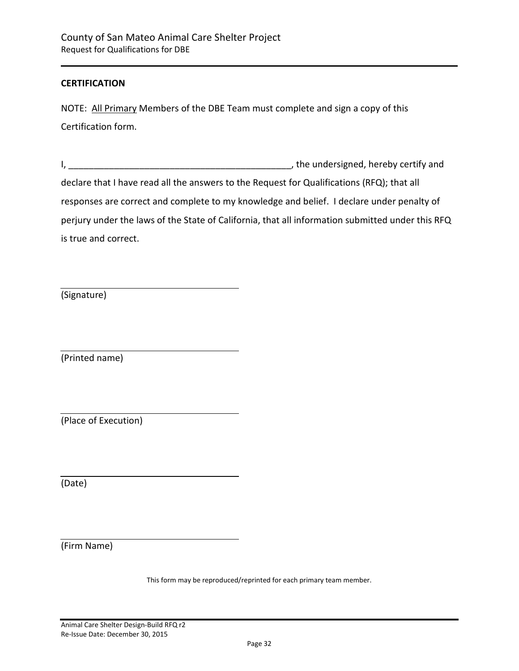### **CERTIFICATION**

NOTE: All Primary Members of the DBE Team must complete and sign a copy of this Certification form.

I, the undersigned, hereby certify and declare that I have read all the answers to the Request for Qualifications (RFQ); that all responses are correct and complete to my knowledge and belief. I declare under penalty of perjury under the laws of the State of California, that all information submitted under this RFQ is true and correct.

(Signature)

(Printed name)

(Place of Execution)

(Date)

(Firm Name)

This form may be reproduced/reprinted for each primary team member.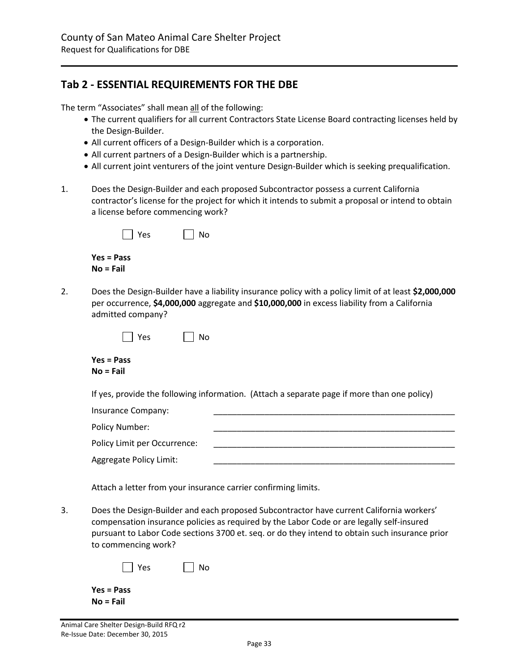# <span id="page-32-0"></span>**Tab 2 - ESSENTIAL REQUIREMENTS FOR THE DBE**

The term "Associates" shall mean all of the following:

- The current qualifiers for all current Contractors State License Board contracting licenses held by the Design-Builder.
- All current officers of a Design-Builder which is a corporation.
- All current partners of a Design-Builder which is a partnership.
- All current joint venturers of the joint venture Design-Builder which is seeking prequalification.
- 1. Does the Design-Builder and each proposed Subcontractor possess a current California contractor's license for the project for which it intends to submit a proposal or intend to obtain a license before commencing work?

| $ $   Yes    | $\vert$   No |
|--------------|--------------|
| $Yes = Pass$ |              |
| $No = Fail$  |              |

2. Does the Design-Builder have a liability insurance policy with a policy limit of at least **\$2,000,000** per occurrence, **\$4,000,000** aggregate and **\$10,000,000** in excess liability from a California admitted company?

| Voc | NΩ |
|-----|----|
|-----|----|

**Yes = Pass No = Fail**

If yes, provide the following information. (Attach a separate page if more than one policy)

| Insurance Company:           |  |
|------------------------------|--|
| Policy Number:               |  |
| Policy Limit per Occurrence: |  |
| Aggregate Policy Limit:      |  |

Attach a letter from your insurance carrier confirming limits.

3. Does the Design-Builder and each proposed Subcontractor have current California workers' compensation insurance policies as required by the Labor Code or are legally self-insured pursuant to Labor Code sections 3700 et. seq. or do they intend to obtain such insurance prior to commencing work?

| $ $   Yes    | $\Box$ No |
|--------------|-----------|
| $Yes = Pass$ |           |
| $No = Fail$  |           |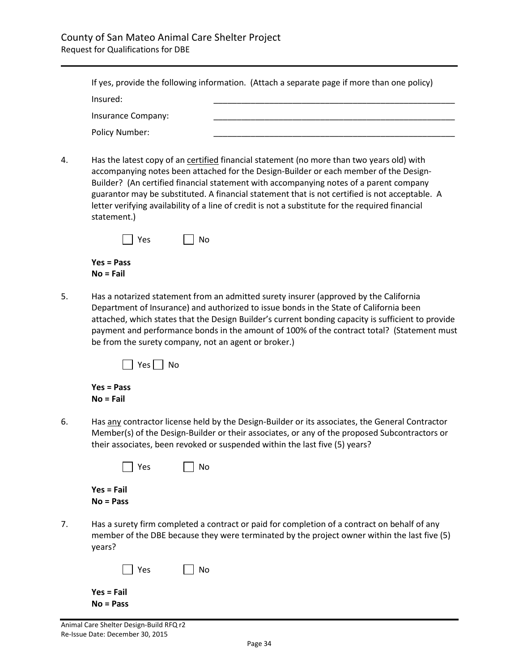|                    | If yes, provide the following information. (Attach a separate page if more than one policy) |
|--------------------|---------------------------------------------------------------------------------------------|
| Insured:           |                                                                                             |
| Insurance Company: |                                                                                             |
| Policy Number:     |                                                                                             |

4. Has the latest copy of an certified financial statement (no more than two years old) with accompanying notes been attached for the Design-Builder or each member of the Design-Builder? (An certified financial statement with accompanying notes of a parent company guarantor may be substituted. A financial statement that is not certified is not acceptable. A letter verifying availability of a line of credit is not a substitute for the required financial statement.)

| $ $   Yes    | $\vert$   No |
|--------------|--------------|
| $Yes = Pass$ |              |
| $No = Fail$  |              |

5. Has a notarized statement from an admitted surety insurer (approved by the California Department of Insurance) and authorized to issue bonds in the State of California been attached, which states that the Design Builder's current bonding capacity is sufficient to provide payment and performance bonds in the amount of 100% of the contract total? (Statement must be from the surety company, not an agent or broker.)

|  |  | חו |
|--|--|----|
|--|--|----|

#### **Yes = Pass No = Fail**

6. Has any contractor license held by the Design-Builder or its associates, the General Contractor Member(s) of the Design-Builder or their associates, or any of the proposed Subcontractors or their associates, been revoked or suspended within the last five (5) years?

|    | No.<br>Yes                                                                                                                                                                                             |
|----|--------------------------------------------------------------------------------------------------------------------------------------------------------------------------------------------------------|
|    | $Yes = Fair$<br>$No = Pass$                                                                                                                                                                            |
| 7. | Has a surety firm completed a contract or paid for completion of a contract on behalf of any<br>member of the DBE because they were terminated by the project owner within the last five (5)<br>years? |
|    | No<br>Yes                                                                                                                                                                                              |

| $Yes = Fall$ |  |  |
|--------------|--|--|
| $No = Pass$  |  |  |

Animal Care Shelter Design-Build RFQ r2 Re-Issue Date: December 30, 2015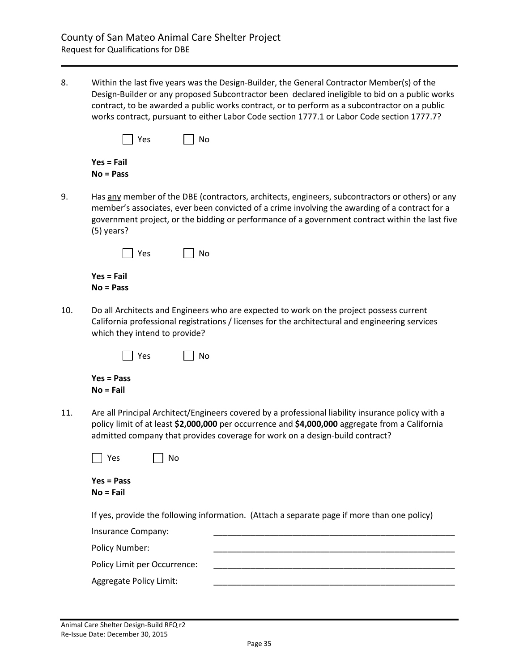8. Within the last five years was the Design-Builder, the General Contractor Member(s) of the Design-Builder or any proposed Subcontractor been declared ineligible to bid on a public works contract, to be awarded a public works contract, or to perform as a subcontractor on a public works contract, pursuant to either Labor Code section 1777.1 or Labor Code section 1777.7?

| Yes          | $\vert$   No |
|--------------|--------------|
| $Yes = Fail$ |              |
| $No = Pass$  |              |

9. Has any member of the DBE (contractors, architects, engineers, subcontractors or others) or any member's associates, ever been convicted of a crime involving the awarding of a contract for a government project, or the bidding or performance of a government contract within the last five (5) years?

| Yes          | $\vert$   No |
|--------------|--------------|
| $Yes = Fail$ |              |
| $No = Pass$  |              |

10. Do all Architects and Engineers who are expected to work on the project possess current California professional registrations / licenses for the architectural and engineering services which they intend to provide?

| $\Box$ Yes | $\Box$ No |
|------------|-----------|
|            |           |

|           | Yes = Pass |
|-----------|------------|
| No = Fail |            |

11. Are all Principal Architect/Engineers covered by a professional liability insurance policy with a policy limit of at least **\$2,000,000** per occurrence and **\$4,000,000** aggregate from a California admitted company that provides coverage for work on a design-build contract?

| Υρς | Nο |
|-----|----|
|-----|----|

|           | Yes = Pass |
|-----------|------------|
| No = Fail |            |

If yes, provide the following information. (Attach a separate page if more than one policy)

| Insurance Company:           |  |
|------------------------------|--|
| Policy Number:               |  |
| Policy Limit per Occurrence: |  |
| Aggregate Policy Limit:      |  |
|                              |  |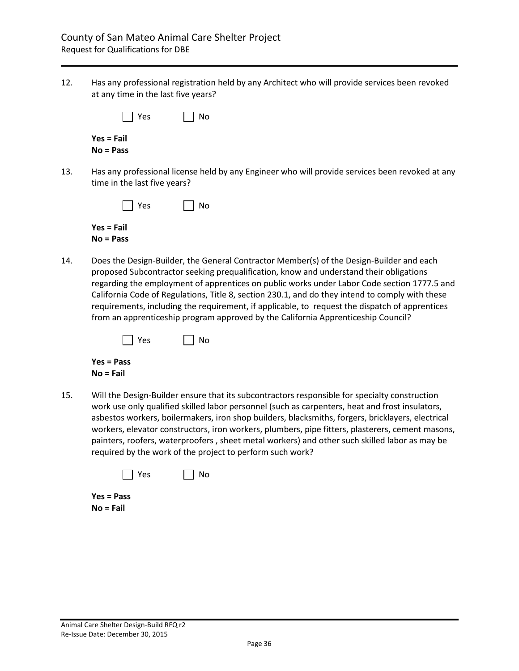12. Has any professional registration held by any Architect who will provide services been revoked at any time in the last five years?

| $\vert$   Yes | $\vert$   No |
|---------------|--------------|
| $Yes = Fair$  |              |
| $No = Pass$   |              |

13. Has any professional license held by any Engineer who will provide services been revoked at any time in the last five years?

| $ $   Yes    | $\vert$ $\vert$ No |
|--------------|--------------------|
| $Yes = Fair$ |                    |
| $No = Pass$  |                    |

14. Does the Design-Builder, the General Contractor Member(s) of the Design-Builder and each proposed Subcontractor seeking prequalification, know and understand their obligations regarding the employment of apprentices on public works under Labor Code section 1777.5 and California Code of Regulations, Title 8, section 230.1, and do they intend to comply with these requirements, including the requirement, if applicable, to request the dispatch of apprentices from an apprenticeship program approved by the California Apprenticeship Council?

| l l Yes | l I No |
|---------|--------|
|         |        |

**Yes = Pass No = Fail**

15. Will the Design-Builder ensure that its subcontractors responsible for specialty construction work use only qualified skilled labor personnel (such as carpenters, heat and frost insulators, asbestos workers, boilermakers, iron shop builders, blacksmiths, forgers, bricklayers, electrical workers, elevator constructors, iron workers, plumbers, pipe fitters, plasterers, cement masons, painters, roofers, waterproofers , sheet metal workers) and other such skilled labor as may be required by the work of the project to perform such work?

|  | <b>Yes</b> |  |  | NΩ |
|--|------------|--|--|----|
|--|------------|--|--|----|

**Yes = Pass No = Fail**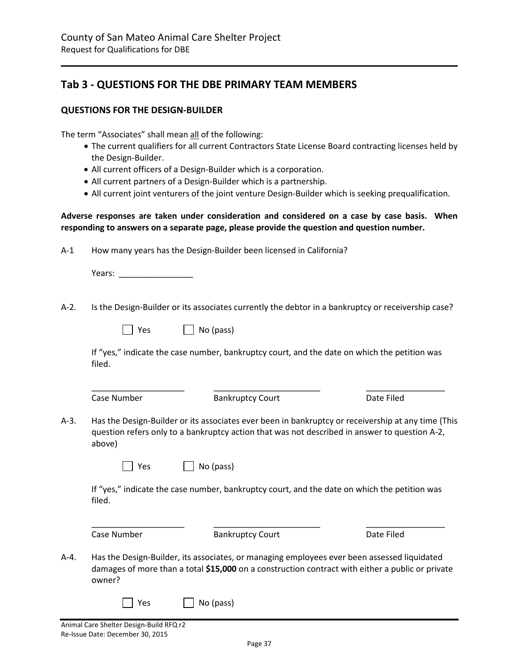# <span id="page-36-0"></span>**Tab 3 - QUESTIONS FOR THE DBE PRIMARY TEAM MEMBERS**

#### **QUESTIONS FOR THE DESIGN-BUILDER**

The term "Associates" shall mean all of the following:

- The current qualifiers for all current Contractors State License Board contracting licenses held by the Design-Builder.
- All current officers of a Design-Builder which is a corporation.
- All current partners of a Design-Builder which is a partnership.
- All current joint venturers of the joint venture Design-Builder which is seeking prequalification.

**Adverse responses are taken under consideration and considered on a case by case basis. When responding to answers on a separate page, please provide the question and question number.**

A-1 How many years has the Design-Builder been licensed in California?

Years: **with a set of the set of the set of the set of the set of the set of the set of the set of the set of the set of the set of the set of the set of the set of the set of the set of the set of the set of the set of th** 

A-2. Is the Design-Builder or its associates currently the debtor in a bankruptcy or receivership case?

| $\vert$   Yes | $\Box$ No (pass) |
|---------------|------------------|
|---------------|------------------|

If "yes," indicate the case number, bankruptcy court, and the date on which the petition was filed.

| Case Number |  |
|-------------|--|
|             |  |

Bankruptcy Court Date Filed

\_\_\_\_\_\_\_\_\_\_\_\_\_\_\_\_\_\_\_\_ \_\_\_\_\_\_\_\_\_\_\_\_\_\_\_\_\_\_\_\_\_\_\_ \_\_\_\_\_\_\_\_\_\_\_\_\_\_\_\_\_

A-3. Has the Design-Builder or its associates ever been in bankruptcy or receivership at any time (This question refers only to a bankruptcy action that was not described in answer to question A-2, above)

| Yes |  | No (pass) |
|-----|--|-----------|
|-----|--|-----------|

If "yes," indicate the case number, bankruptcy court, and the date on which the petition was filed.

| Case Number | <b>Bankruptcy Court</b> | Date Filed |
|-------------|-------------------------|------------|

- A-4. Has the Design-Builder, its associates, or managing employees ever been assessed liquidated damages of more than a total **\$15,000** on a construction contract with either a public or private owner?
	- $\Box$  Yes  $\Box$  No (pass)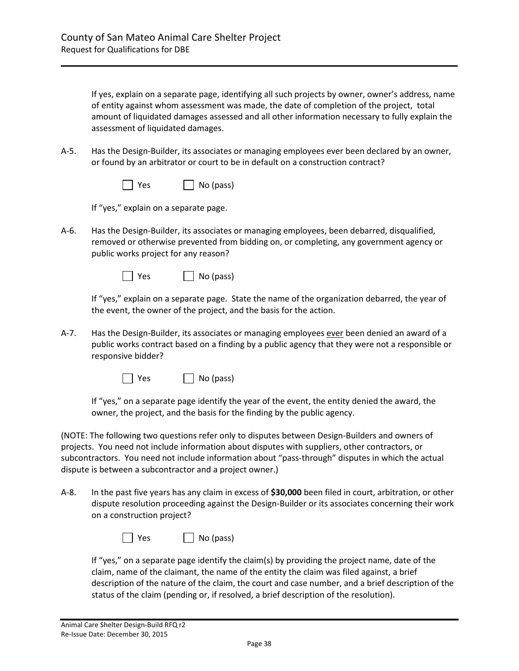If yes, explain on a separate page, identifying all such projects by owner, owner's address, name of entity against whom assessment was made, the date of completion of the project, total amount of liquidated damages assessed and all other information necessary to fully explain the assessment of liquidated damages.

A-5. Has the Design-Builder, its associates or managing employees ever been declared by an owner, or found by an arbitrator or court to be in default on a construction contract?

| $\Box$ Yes | $\Box$ No (pass) |
|------------|------------------|
|------------|------------------|

If "yes," explain on a separate page.

A-6. Has the Design-Builder, its associates or managing employees, been debarred, disqualified, removed or otherwise prevented from bidding on, or completing, any government agency or public works project for any reason?

| $\Box$ Yes | $\Box$ No (pass) |
|------------|------------------|
|------------|------------------|

If "yes," explain on a separate page. State the name of the organization debarred, the year of the event, the owner of the project, and the basis for the action.

A-7. Has the Design-Builder, its associates or managing employees ever been denied an award of a public works contract based on a finding by a public agency that they were not a responsible or responsive bidder?

 $\bigcap$  Yes  $\bigcap$  No (pass)

If "yes," on a separate page identify the year of the event, the entity denied the award, the owner, the project, and the basis for the finding by the public agency.

(NOTE: The following two questions refer only to disputes between Design-Builders and owners of projects. You need not include information about disputes with suppliers, other contractors, or subcontractors. You need not include information about "pass-through" disputes in which the actual dispute is between a subcontractor and a project owner.)

A-8. In the past five years has any claim in excess of **\$30,000** been filed in court, arbitration, or other dispute resolution proceeding against the Design-Builder or its associates concerning their work on a construction project?

| Yes | No (pass) |
|-----|-----------|
|-----|-----------|

If "yes," on a separate page identify the claim(s) by providing the project name, date of the claim, name of the claimant, the name of the entity the claim was filed against, a brief description of the nature of the claim, the court and case number, and a brief description of the status of the claim (pending or, if resolved, a brief description of the resolution).

 $\overline{\phantom{a}}$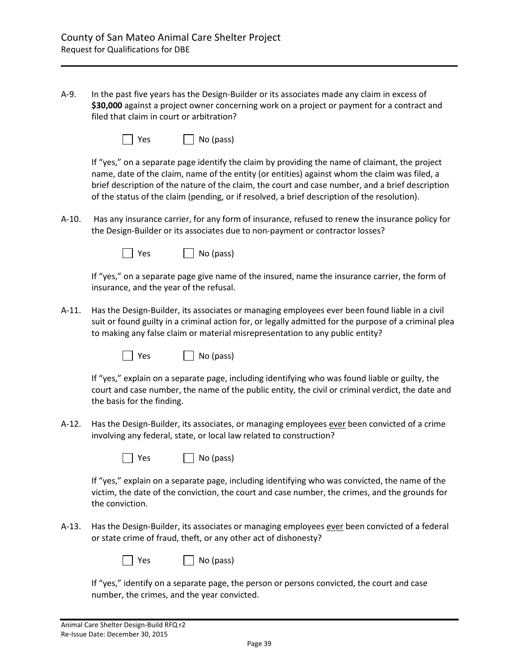A-9. In the past five years has the Design-Builder or its associates made any claim in excess of **\$30,000** against a project owner concerning work on a project or payment for a contract and filed that claim in court or arbitration?

| Yes | $\Box$ No (pass) |
|-----|------------------|
|-----|------------------|

If "yes," on a separate page identify the claim by providing the name of claimant, the project name, date of the claim, name of the entity (or entities) against whom the claim was filed, a brief description of the nature of the claim, the court and case number, and a brief description of the status of the claim (pending, or if resolved, a brief description of the resolution).

A-10. Has any insurance carrier, for any form of insurance, refused to renew the insurance policy for the Design-Builder or its associates due to non-payment or contractor losses?



If "yes," on a separate page give name of the insured, name the insurance carrier, the form of insurance, and the year of the refusal.

A-11. Has the Design-Builder, its associates or managing employees ever been found liable in a civil suit or found guilty in a criminal action for, or legally admitted for the purpose of a criminal plea to making any false claim or material misrepresentation to any public entity?

| T Yes | $\Box$ No (pass) |
|-------|------------------|
|-------|------------------|

If "yes," explain on a separate page, including identifying who was found liable or guilty, the court and case number, the name of the public entity, the civil or criminal verdict, the date and the basis for the finding.

A-12. Has the Design-Builder, its associates, or managing employees ever been convicted of a crime involving any federal, state, or local law related to construction?

| $\Box$ Yes | $\Box$ No (pass) |
|------------|------------------|
|------------|------------------|

If "yes," explain on a separate page, including identifying who was convicted, the name of the victim, the date of the conviction, the court and case number, the crimes, and the grounds for the conviction.

A-13. Has the Design-Builder, its associates or managing employees ever been convicted of a federal or state crime of fraud, theft, or any other act of dishonesty?

| Yes |  |  | $\Box$ No (pass) |
|-----|--|--|------------------|
|-----|--|--|------------------|

If "yes," identify on a separate page, the person or persons convicted, the court and case number, the crimes, and the year convicted.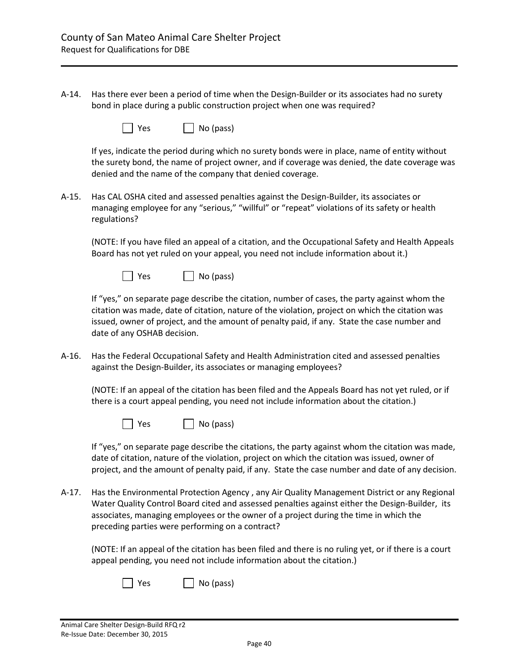A-14. Has there ever been a period of time when the Design-Builder or its associates had no surety bond in place during a public construction project when one was required?

| Yes | $\Box$ No (pass) |
|-----|------------------|
|-----|------------------|

If yes, indicate the period during which no surety bonds were in place, name of entity without the surety bond, the name of project owner, and if coverage was denied, the date coverage was denied and the name of the company that denied coverage.

A-15. Has CAL OSHA cited and assessed penalties against the Design-Builder, its associates or managing employee for any "serious," "willful" or "repeat" violations of its safety or health regulations?

(NOTE: If you have filed an appeal of a citation, and the Occupational Safety and Health Appeals Board has not yet ruled on your appeal, you need not include information about it.)



If "yes," on separate page describe the citation, number of cases, the party against whom the citation was made, date of citation, nature of the violation, project on which the citation was issued, owner of project, and the amount of penalty paid, if any. State the case number and date of any OSHAB decision.

A-16. Has the Federal Occupational Safety and Health Administration cited and assessed penalties against the Design-Builder, its associates or managing employees?

(NOTE: If an appeal of the citation has been filed and the Appeals Board has not yet ruled, or if there is a court appeal pending, you need not include information about the citation.)

| Yes | $\Box$ No (pass) |
|-----|------------------|
|-----|------------------|

If "yes," on separate page describe the citations, the party against whom the citation was made, date of citation, nature of the violation, project on which the citation was issued, owner of project, and the amount of penalty paid, if any. State the case number and date of any decision.

A-17. Has the Environmental Protection Agency , any Air Quality Management District or any Regional Water Quality Control Board cited and assessed penalties against either the Design-Builder, its associates, managing employees or the owner of a project during the time in which the preceding parties were performing on a contract?

(NOTE: If an appeal of the citation has been filed and there is no ruling yet, or if there is a court appeal pending, you need not include information about the citation.)

| Yes | $\Box$ No (pass) |
|-----|------------------|
|-----|------------------|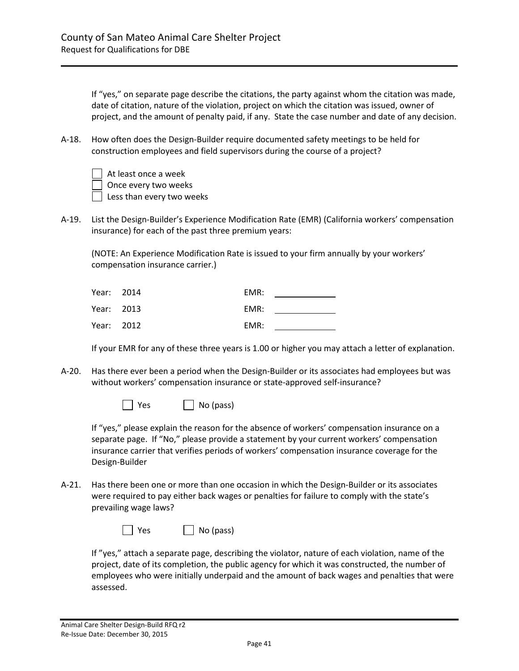If "yes," on separate page describe the citations, the party against whom the citation was made, date of citation, nature of the violation, project on which the citation was issued, owner of project, and the amount of penalty paid, if any. State the case number and date of any decision.

A-18. How often does the Design-Builder require documented safety meetings to be held for construction employees and field supervisors during the course of a project?

| At least once a week      |
|---------------------------|
| Once every two weeks      |
| Less than every two weeks |

A-19. List the Design-Builder's Experience Modification Rate (EMR) (California workers' compensation insurance) for each of the past three premium years:

(NOTE: An Experience Modification Rate is issued to your firm annually by your workers' compensation insurance carrier.)

| Year: 2014 | EMR: |
|------------|------|
| Year: 2013 | EMR: |
| Year: 2012 | EMR: |

If your EMR for any of these three years is 1.00 or higher you may attach a letter of explanation.

A-20. Has there ever been a period when the Design-Builder or its associates had employees but was without workers' compensation insurance or state-approved self-insurance?



If "yes," please explain the reason for the absence of workers' compensation insurance on a separate page. If "No," please provide a statement by your current workers' compensation insurance carrier that verifies periods of workers' compensation insurance coverage for the Design-Builder

A-21. Has there been one or more than one occasion in which the Design-Builder or its associates were required to pay either back wages or penalties for failure to comply with the state's prevailing wage laws?

| Yes | $\Box$ No (pass) |
|-----|------------------|
|-----|------------------|

If "yes," attach a separate page, describing the violator, nature of each violation, name of the project, date of its completion, the public agency for which it was constructed, the number of employees who were initially underpaid and the amount of back wages and penalties that were assessed.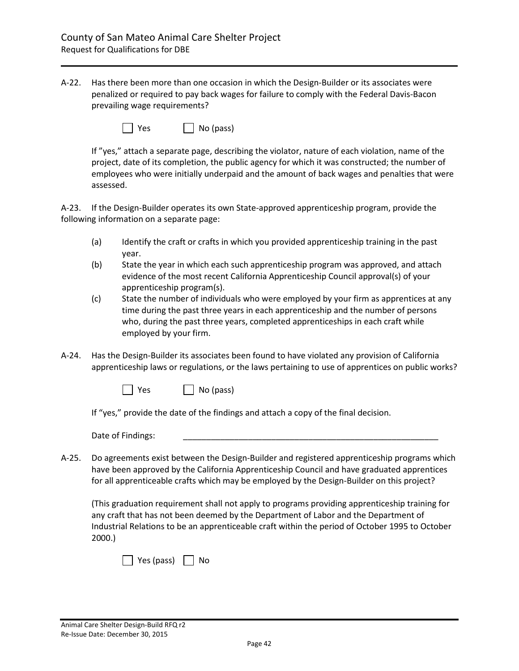A-22. Has there been more than one occasion in which the Design-Builder or its associates were penalized or required to pay back wages for failure to comply with the Federal Davis-Bacon prevailing wage requirements?

| Yes | $\Box$ No (pass) |
|-----|------------------|
|-----|------------------|

If "yes," attach a separate page, describing the violator, nature of each violation, name of the project, date of its completion, the public agency for which it was constructed; the number of employees who were initially underpaid and the amount of back wages and penalties that were assessed.

A-23. If the Design-Builder operates its own State-approved apprenticeship program, provide the following information on a separate page:

- (a) Identify the craft or crafts in which you provided apprenticeship training in the past year.
- (b) State the year in which each such apprenticeship program was approved, and attach evidence of the most recent California Apprenticeship Council approval(s) of your apprenticeship program(s).
- (c) State the number of individuals who were employed by your firm as apprentices at any time during the past three years in each apprenticeship and the number of persons who, during the past three years, completed apprenticeships in each craft while employed by your firm.
- A-24. Has the Design-Builder its associates been found to have violated any provision of California apprenticeship laws or regulations, or the laws pertaining to use of apprentices on public works?

 $\bigcap$  Yes  $\bigcap$  No (pass)

If "yes," provide the date of the findings and attach a copy of the final decision.

Date of Findings:

A-25. Do agreements exist between the Design-Builder and registered apprenticeship programs which have been approved by the California Apprenticeship Council and have graduated apprentices for all apprenticeable crafts which may be employed by the Design-Builder on this project?

(This graduation requirement shall not apply to programs providing apprenticeship training for any craft that has not been deemed by the Department of Labor and the Department of Industrial Relations to be an apprenticeable craft within the period of October 1995 to October 2000.)

| Yes (pass) | l No |
|------------|------|
|------------|------|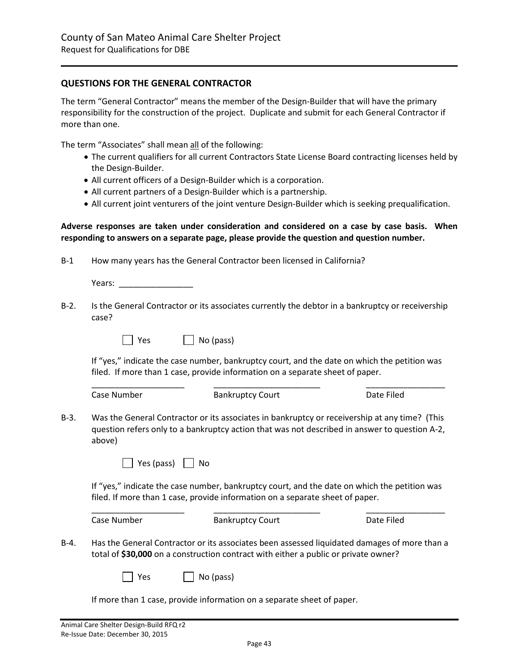### **QUESTIONS FOR THE GENERAL CONTRACTOR**

The term "General Contractor" means the member of the Design-Builder that will have the primary responsibility for the construction of the project. Duplicate and submit for each General Contractor if more than one.

The term "Associates" shall mean all of the following:

- The current qualifiers for all current Contractors State License Board contracting licenses held by the Design-Builder.
- All current officers of a Design-Builder which is a corporation.
- All current partners of a Design-Builder which is a partnership.
- All current joint venturers of the joint venture Design-Builder which is seeking prequalification.

#### **Adverse responses are taken under consideration and considered on a case by case basis. When responding to answers on a separate page, please provide the question and question number.**

| B-1 |  | How many years has the General Contractor been licensed in California? |
|-----|--|------------------------------------------------------------------------|
|-----|--|------------------------------------------------------------------------|

Years: \_\_\_\_\_\_\_\_\_\_\_\_\_\_\_\_

B-2. Is the General Contractor or its associates currently the debtor in a bankruptcy or receivership case?

 $\Box$  Yes  $\Box$  No (pass)

If "yes," indicate the case number, bankruptcy court, and the date on which the petition was filed. If more than 1 case, provide information on a separate sheet of paper.

|      | Case Number                                                                                                                                                                                              | <b>Bankruptcy Court</b>                                                                                                                                                             | Date Filed |  |  |
|------|----------------------------------------------------------------------------------------------------------------------------------------------------------------------------------------------------------|-------------------------------------------------------------------------------------------------------------------------------------------------------------------------------------|------------|--|--|
| B-3. | Was the General Contractor or its associates in bankruptcy or receivership at any time? (This<br>question refers only to a bankruptcy action that was not described in answer to question A-2,<br>above) |                                                                                                                                                                                     |            |  |  |
|      | Yes (pass)                                                                                                                                                                                               | No                                                                                                                                                                                  |            |  |  |
|      | If "yes," indicate the case number, bankruptcy court, and the date on which the petition was<br>filed. If more than 1 case, provide information on a separate sheet of paper.                            |                                                                                                                                                                                     |            |  |  |
|      | Case Number                                                                                                                                                                                              | <b>Bankruptcy Court</b>                                                                                                                                                             | Date Filed |  |  |
| B-4. |                                                                                                                                                                                                          | Has the General Contractor or its associates been assessed liquidated damages of more than a<br>total of \$30,000 on a construction contract with either a public or private owner? |            |  |  |
|      |                                                                                                                                                                                                          |                                                                                                                                                                                     |            |  |  |

If more than 1 case, provide information on a separate sheet of paper.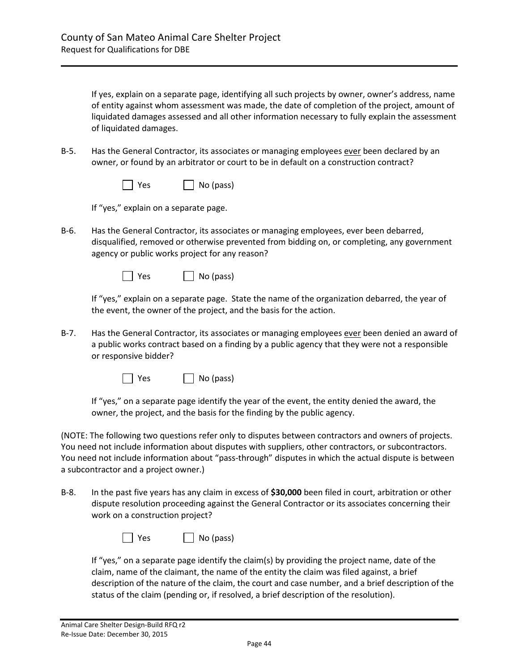If yes, explain on a separate page, identifying all such projects by owner, owner's address, name of entity against whom assessment was made, the date of completion of the project, amount of liquidated damages assessed and all other information necessary to fully explain the assessment of liquidated damages.

B-5. Has the General Contractor, its associates or managing employees ever been declared by an owner, or found by an arbitrator or court to be in default on a construction contract?

| $\Box$ Yes | $\Box$ No (pass) |
|------------|------------------|
|------------|------------------|

If "yes," explain on a separate page.

B-6. Has the General Contractor, its associates or managing employees, ever been debarred, disqualified, removed or otherwise prevented from bidding on, or completing, any government agency or public works project for any reason?

| $\Box$ Yes | $\Box$ No (pass) |
|------------|------------------|
|------------|------------------|

If "yes," explain on a separate page. State the name of the organization debarred, the year of the event, the owner of the project, and the basis for the action.

B-7. Has the General Contractor, its associates or managing employees ever been denied an award of a public works contract based on a finding by a public agency that they were not a responsible or responsive bidder?

 $\bigcap$  Yes  $\bigcap$  No (pass)

If "yes," on a separate page identify the year of the event, the entity denied the award, the owner, the project, and the basis for the finding by the public agency.

(NOTE: The following two questions refer only to disputes between contractors and owners of projects. You need not include information about disputes with suppliers, other contractors, or subcontractors. You need not include information about "pass-through" disputes in which the actual dispute is between a subcontractor and a project owner.)

B-8. In the past five years has any claim in excess of **\$30,000** been filed in court, arbitration or other dispute resolution proceeding against the General Contractor or its associates concerning their work on a construction project?

| l Yes | $\Box$ No (pass) |
|-------|------------------|
|-------|------------------|

If "yes," on a separate page identify the claim(s) by providing the project name, date of the claim, name of the claimant, the name of the entity the claim was filed against, a brief description of the nature of the claim, the court and case number, and a brief description of the status of the claim (pending or, if resolved, a brief description of the resolution).

 $\overline{\phantom{a}}$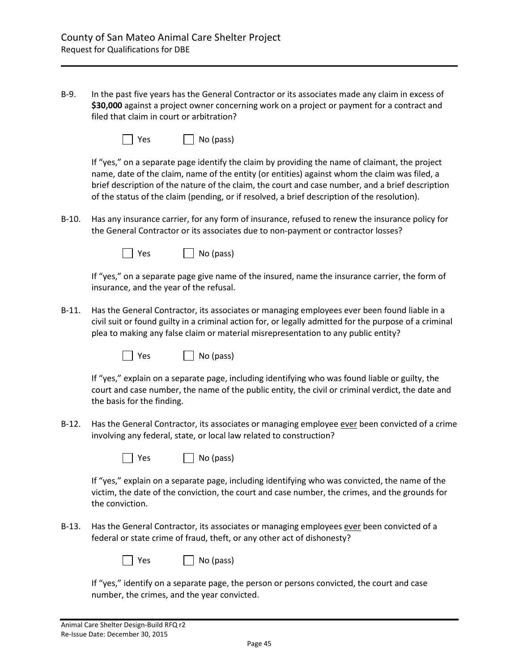B-9. In the past five years has the General Contractor or its associates made any claim in excess of **\$30,000** against a project owner concerning work on a project or payment for a contract and filed that claim in court or arbitration?

| Yes | $\Box$ No (pass) |
|-----|------------------|
|-----|------------------|

If "yes," on a separate page identify the claim by providing the name of claimant, the project name, date of the claim, name of the entity (or entities) against whom the claim was filed, a brief description of the nature of the claim, the court and case number, and a brief description of the status of the claim (pending, or if resolved, a brief description of the resolution).

B-10. Has any insurance carrier, for any form of insurance, refused to renew the insurance policy for the General Contractor or its associates due to non-payment or contractor losses?



If "yes," on a separate page give name of the insured, name the insurance carrier, the form of insurance, and the year of the refusal.

B-11. Has the General Contractor, its associates or managing employees ever been found liable in a civil suit or found guilty in a criminal action for, or legally admitted for the purpose of a criminal plea to making any false claim or material misrepresentation to any public entity?

| T Yes | $\Box$ No (pass) |
|-------|------------------|
|-------|------------------|

If "yes," explain on a separate page, including identifying who was found liable or guilty, the court and case number, the name of the public entity, the civil or criminal verdict, the date and the basis for the finding.

B-12. Has the General Contractor, its associates or managing employee ever been convicted of a crime involving any federal, state, or local law related to construction?

| $\Box$ Yes | $\Box$ No (pass) |
|------------|------------------|
|------------|------------------|

If "yes," explain on a separate page, including identifying who was convicted, the name of the victim, the date of the conviction, the court and case number, the crimes, and the grounds for the conviction.

B-13. Has the General Contractor, its associates or managing employees ever been convicted of a federal or state crime of fraud, theft, or any other act of dishonesty?

| Yes |  |  | $\Box$ No (pass) |
|-----|--|--|------------------|
|-----|--|--|------------------|

If "yes," identify on a separate page, the person or persons convicted, the court and case number, the crimes, and the year convicted.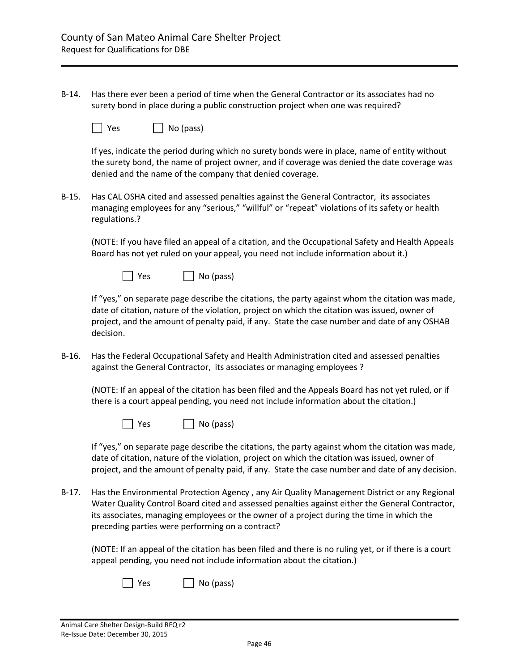B-14. Has there ever been a period of time when the General Contractor or its associates had no surety bond in place during a public construction project when one was required?

| Yes |  |  | No (pass) |
|-----|--|--|-----------|
|-----|--|--|-----------|

If yes, indicate the period during which no surety bonds were in place, name of entity without the surety bond, the name of project owner, and if coverage was denied the date coverage was denied and the name of the company that denied coverage.

B-15. Has CAL OSHA cited and assessed penalties against the General Contractor, its associates managing employees for any "serious," "willful" or "repeat" violations of its safety or health regulations.?

(NOTE: If you have filed an appeal of a citation, and the Occupational Safety and Health Appeals Board has not yet ruled on your appeal, you need not include information about it.)



If "yes," on separate page describe the citations, the party against whom the citation was made, date of citation, nature of the violation, project on which the citation was issued, owner of project, and the amount of penalty paid, if any. State the case number and date of any OSHAB decision.

B-16. Has the Federal Occupational Safety and Health Administration cited and assessed penalties against the General Contractor, its associates or managing employees ?

(NOTE: If an appeal of the citation has been filed and the Appeals Board has not yet ruled, or if there is a court appeal pending, you need not include information about the citation.)

| $\Box$ Yes | $\Box$ No (pass) |
|------------|------------------|
|------------|------------------|

If "yes," on separate page describe the citations, the party against whom the citation was made, date of citation, nature of the violation, project on which the citation was issued, owner of project, and the amount of penalty paid, if any. State the case number and date of any decision.

B-17. Has the Environmental Protection Agency , any Air Quality Management District or any Regional Water Quality Control Board cited and assessed penalties against either the General Contractor, its associates, managing employees or the owner of a project during the time in which the preceding parties were performing on a contract?

(NOTE: If an appeal of the citation has been filed and there is no ruling yet, or if there is a court appeal pending, you need not include information about the citation.)

| Yes | $\Box$ No (pass) |
|-----|------------------|
|-----|------------------|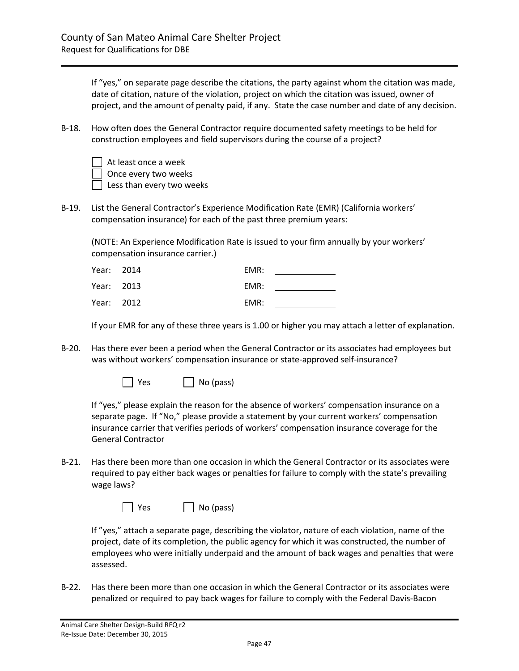If "yes," on separate page describe the citations, the party against whom the citation was made, date of citation, nature of the violation, project on which the citation was issued, owner of project, and the amount of penalty paid, if any. State the case number and date of any decision.

- B-18. How often does the General Contractor require documented safety meetings to be held for construction employees and field supervisors during the course of a project?
	- At least once a week Once every two weeks Less than every two weeks
- B-19. List the General Contractor's Experience Modification Rate (EMR) (California workers' compensation insurance) for each of the past three premium years:

(NOTE: An Experience Modification Rate is issued to your firm annually by your workers' compensation insurance carrier.)

| Year: 2014 | EMR: |  |
|------------|------|--|
| Year: 2013 | EMR: |  |
| Year: 2012 | EMR: |  |

If your EMR for any of these three years is 1.00 or higher you may attach a letter of explanation.

B-20. Has there ever been a period when the General Contractor or its associates had employees but was without workers' compensation insurance or state-approved self-insurance?

| $\Box$ Yes | $\Box$ No (pass) |
|------------|------------------|
|------------|------------------|

If "yes," please explain the reason for the absence of workers' compensation insurance on a separate page. If "No," please provide a statement by your current workers' compensation insurance carrier that verifies periods of workers' compensation insurance coverage for the General Contractor

B-21. Has there been more than one occasion in which the General Contractor or its associates were required to pay either back wages or penalties for failure to comply with the state's prevailing wage laws?

| l Yes | No (pass) |
|-------|-----------|
|-------|-----------|

If "yes," attach a separate page, describing the violator, nature of each violation, name of the project, date of its completion, the public agency for which it was constructed, the number of employees who were initially underpaid and the amount of back wages and penalties that were assessed.

B-22. Has there been more than one occasion in which the General Contractor or its associates were penalized or required to pay back wages for failure to comply with the Federal Davis-Bacon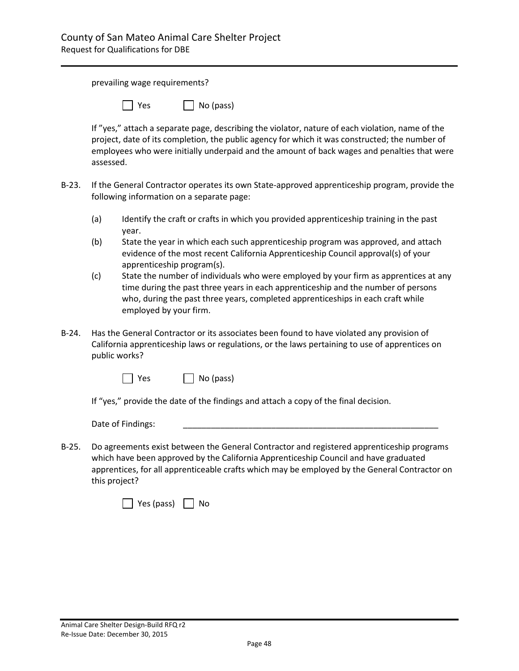prevailing wage requirements?

| Yes. | $\Box$ No (pass) |  |
|------|------------------|--|
|      |                  |  |

If "yes," attach a separate page, describing the violator, nature of each violation, name of the project, date of its completion, the public agency for which it was constructed; the number of employees who were initially underpaid and the amount of back wages and penalties that were assessed.

- B-23. If the General Contractor operates its own State-approved apprenticeship program, provide the following information on a separate page:
	- (a) Identify the craft or crafts in which you provided apprenticeship training in the past year.
	- (b) State the year in which each such apprenticeship program was approved, and attach evidence of the most recent California Apprenticeship Council approval(s) of your apprenticeship program(s).
	- (c) State the number of individuals who were employed by your firm as apprentices at any time during the past three years in each apprenticeship and the number of persons who, during the past three years, completed apprenticeships in each craft while employed by your firm.
- B-24. Has the General Contractor or its associates been found to have violated any provision of California apprenticeship laws or regulations, or the laws pertaining to use of apprentices on public works?



If "yes," provide the date of the findings and attach a copy of the final decision.

Date of Findings:

B-25. Do agreements exist between the General Contractor and registered apprenticeship programs which have been approved by the California Apprenticeship Council and have graduated apprentices, for all apprenticeable crafts which may be employed by the General Contractor on this project?

| Yes (pass) | NΩ |
|------------|----|
|------------|----|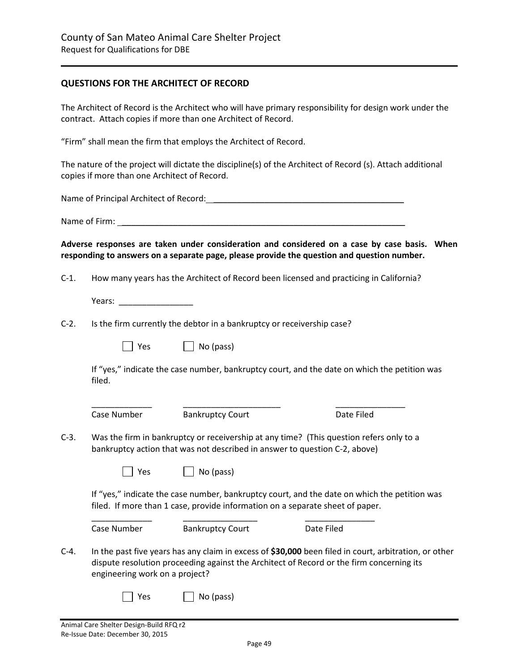#### **QUESTIONS FOR THE ARCHITECT OF RECORD**

The Architect of Record is the Architect who will have primary responsibility for design work under the contract. Attach copies if more than one Architect of Record.

"Firm" shall mean the firm that employs the Architect of Record.

The nature of the project will dictate the discipline(s) of the Architect of Record (s). Attach additional copies if more than one Architect of Record.

Name of Principal Architect of Record: \_\_\_\_\_\_\_\_\_\_\_\_\_\_\_\_\_\_\_\_\_\_\_\_\_\_\_\_\_\_\_\_\_\_\_\_\_\_\_\_\_

Name of Firm:  $\blacksquare$ 

**Adverse responses are taken under consideration and considered on a case by case basis. When responding to answers on a separate page, please provide the question and question number.**

C-1. How many years has the Architect of Record been licensed and practicing in California?

Years: **Weiters** 

C-2. Is the firm currently the debtor in a bankruptcy or receivership case?

| $\Box$ No (pass) |
|------------------|
|                  |

If "yes," indicate the case number, bankruptcy court, and the date on which the petition was filed.

\_\_\_\_\_\_\_\_\_\_\_\_\_ \_\_\_\_\_\_\_\_\_\_\_\_\_\_\_\_\_\_\_\_\_ \_\_\_\_\_\_\_\_\_\_\_\_\_\_\_ Case Number Bankruptcy Court **Date Filed** 

C-3. Was the firm in bankruptcy or receivership at any time? (This question refers only to a bankruptcy action that was not described in answer to question C-2, above)

| Yes |  | No (pass) |
|-----|--|-----------|
|     |  |           |

If "yes," indicate the case number, bankruptcy court, and the date on which the petition was filed. If more than 1 case, provide information on a separate sheet of paper.

\_\_\_\_\_\_\_\_\_\_\_\_\_ \_\_\_\_\_\_\_\_\_\_\_\_\_\_\_\_ \_\_\_\_\_\_\_\_\_\_\_\_\_\_\_ Case Number Bankruptcy Court Date Filed

C-4. In the past five years has any claim in excess of **\$30,000** been filed in court, arbitration, or other dispute resolution proceeding against the Architect of Record or the firm concerning its engineering work on a project?

 $\begin{array}{|c|c|c|c|c|} \hline \end{array}$  Yes  $\begin{array}{|c|c|c|c|c|} \hline \end{array}$  No (pass)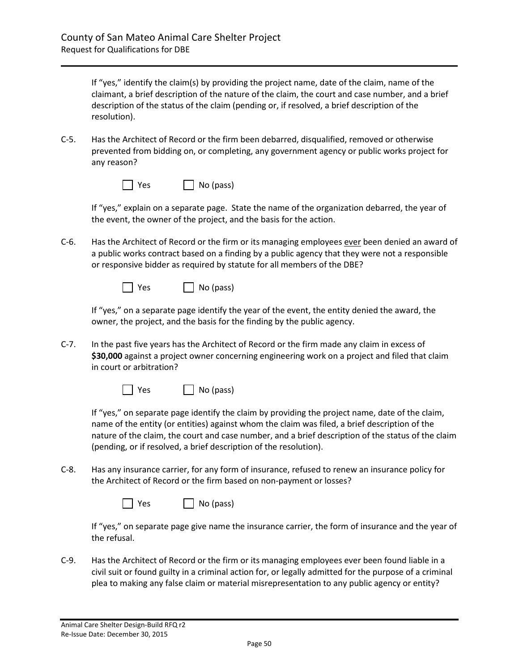If "yes," identify the claim(s) by providing the project name, date of the claim, name of the claimant, a brief description of the nature of the claim, the court and case number, and a brief description of the status of the claim (pending or, if resolved, a brief description of the resolution).

C-5. Has the Architect of Record or the firm been debarred, disqualified, removed or otherwise prevented from bidding on, or completing, any government agency or public works project for any reason?

| $\Box$ No (pass) |
|------------------|
|                  |

If "yes," explain on a separate page. State the name of the organization debarred, the year of the event, the owner of the project, and the basis for the action.

C-6. Has the Architect of Record or the firm or its managing employees ever been denied an award of a public works contract based on a finding by a public agency that they were not a responsible or responsive bidder as required by statute for all members of the DBE?

| $\vert$   Yes | $\Box$ No (pass) |
|---------------|------------------|
|---------------|------------------|

If "yes," on a separate page identify the year of the event, the entity denied the award, the owner, the project, and the basis for the finding by the public agency.

C-7. In the past five years has the Architect of Record or the firm made any claim in excess of **\$30,000** against a project owner concerning engineering work on a project and filed that claim in court or arbitration?

| l Yes | $\Box$ No (pass) |
|-------|------------------|
|-------|------------------|

If "yes," on separate page identify the claim by providing the project name, date of the claim, name of the entity (or entities) against whom the claim was filed, a brief description of the nature of the claim, the court and case number, and a brief description of the status of the claim (pending, or if resolved, a brief description of the resolution).

C-8. Has any insurance carrier, for any form of insurance, refused to renew an insurance policy for the Architect of Record or the firm based on non-payment or losses?

| $\Box$ Yes | $\Box$ No (pass) |
|------------|------------------|
|------------|------------------|

If "yes," on separate page give name the insurance carrier, the form of insurance and the year of the refusal.

C-9. Has the Architect of Record or the firm or its managing employees ever been found liable in a civil suit or found guilty in a criminal action for, or legally admitted for the purpose of a criminal plea to making any false claim or material misrepresentation to any public agency or entity?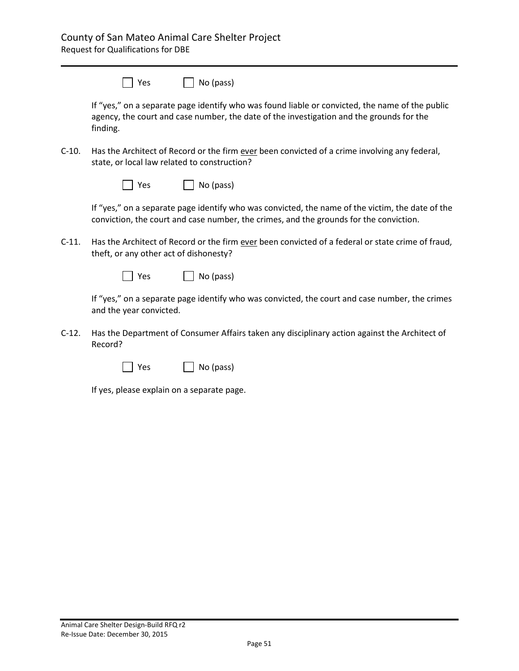|          | l   Yes | $\vert$ No (pass)                                                                                                                                                                           |
|----------|---------|---------------------------------------------------------------------------------------------------------------------------------------------------------------------------------------------|
| finding. |         | If "yes," on a separate page identify who was found liable or convicted, the name of the public<br>agency, the court and case number, the date of the investigation and the grounds for the |

C-10. Has the Architect of Record or the firm ever been convicted of a crime involving any federal, state, or local law related to construction?

| $\Box$ Yes | $\Box$ No (pass) |
|------------|------------------|
|------------|------------------|

If "yes," on a separate page identify who was convicted, the name of the victim, the date of the conviction, the court and case number, the crimes, and the grounds for the conviction.

C-11. Has the Architect of Record or the firm ever been convicted of a federal or state crime of fraud, theft, or any other act of dishonesty?

| $\Box$ Yes | $\Box$ No (pass) |
|------------|------------------|
|------------|------------------|

If "yes," on a separate page identify who was convicted, the court and case number, the crimes and the year convicted.

C-12. Has the Department of Consumer Affairs taken any disciplinary action against the Architect of Record?

| Yes | $\Box$ No (pass) |
|-----|------------------|
|-----|------------------|

If yes, please explain on a separate page.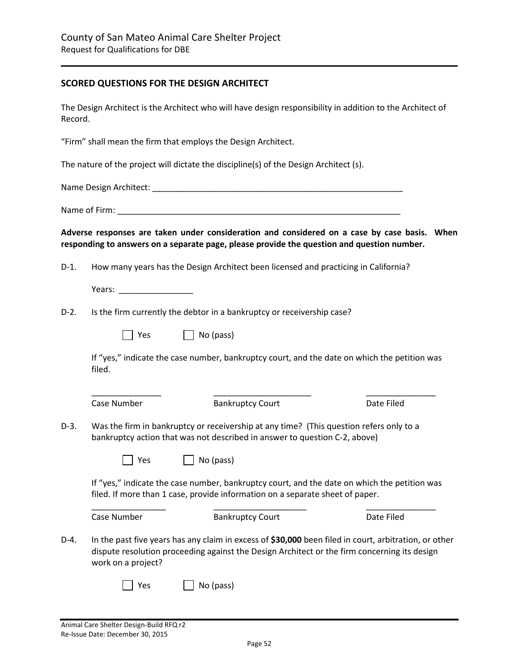### **SCORED QUESTIONS FOR THE DESIGN ARCHITECT**

The Design Architect is the Architect who will have design responsibility in addition to the Architect of Record.

"Firm" shall mean the firm that employs the Design Architect.

The nature of the project will dictate the discipline(s) of the Design Architect (s).

Name Design Architect: \_\_\_\_\_\_\_\_\_\_\_\_\_\_\_\_\_\_\_\_\_\_\_\_\_\_\_\_\_\_\_\_\_\_\_\_\_\_\_\_\_\_\_\_\_\_\_\_\_\_\_\_\_\_

Name of Firm: \_\_\_\_\_\_\_\_\_\_\_\_\_\_\_\_\_\_\_\_\_\_\_\_\_\_\_\_\_\_\_\_\_\_\_\_\_\_\_\_\_\_\_\_\_\_\_\_\_\_\_\_\_\_\_\_\_\_\_\_\_

**Adverse responses are taken under consideration and considered on a case by case basis. When responding to answers on a separate page, please provide the question and question number.**

D-1. How many years has the Design Architect been licensed and practicing in California?

Years: **Wears:**  $\blacksquare$ 

D-2. Is the firm currently the debtor in a bankruptcy or receivership case?

| Yes | $\Box$ No (pass) |
|-----|------------------|
|-----|------------------|

If "yes," indicate the case number, bankruptcy court, and the date on which the petition was filed.

| Case Number        | <b>Bankruptcy Court</b>                                                                                                                                                                               | Date Filed |
|--------------------|-------------------------------------------------------------------------------------------------------------------------------------------------------------------------------------------------------|------------|
|                    | Was the firm in bankruptcy or receivership at any time? (This question refers only to a<br>bankruptcy action that was not described in answer to question C-2, above)                                 |            |
| Yes                | No (pass)                                                                                                                                                                                             |            |
|                    |                                                                                                                                                                                                       |            |
|                    | If "yes," indicate the case number, bankruptcy court, and the date on which the petition was<br>filed. If more than 1 case, provide information on a separate sheet of paper.                         |            |
| Case Number        | <b>Bankruptcy Court</b>                                                                                                                                                                               | Date Filed |
| work on a project? | In the past five years has any claim in excess of \$30,000 been filed in court, arbitration, or other<br>dispute resolution proceeding against the Design Architect or the firm concerning its design |            |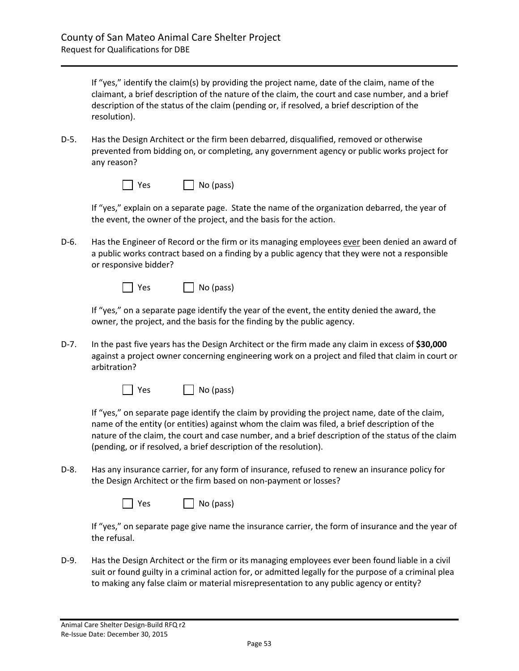If "yes," identify the claim(s) by providing the project name, date of the claim, name of the claimant, a brief description of the nature of the claim, the court and case number, and a brief description of the status of the claim (pending or, if resolved, a brief description of the resolution).

D-5. Has the Design Architect or the firm been debarred, disqualified, removed or otherwise prevented from bidding on, or completing, any government agency or public works project for any reason?

| $\Box$ Yes | $\Box$ No (pass) |
|------------|------------------|
|------------|------------------|

If "yes," explain on a separate page. State the name of the organization debarred, the year of the event, the owner of the project, and the basis for the action.

D-6. Has the Engineer of Record or the firm or its managing employees ever been denied an award of a public works contract based on a finding by a public agency that they were not a responsible or responsive bidder?

| $\vert$   Yes | $\Box$ No (pass) |
|---------------|------------------|
|---------------|------------------|

If "yes," on a separate page identify the year of the event, the entity denied the award, the owner, the project, and the basis for the finding by the public agency.

D-7. In the past five years has the Design Architect or the firm made any claim in excess of **\$30,000** against a project owner concerning engineering work on a project and filed that claim in court or arbitration?



If "yes," on separate page identify the claim by providing the project name, date of the claim, name of the entity (or entities) against whom the claim was filed, a brief description of the nature of the claim, the court and case number, and a brief description of the status of the claim (pending, or if resolved, a brief description of the resolution).

D-8. Has any insurance carrier, for any form of insurance, refused to renew an insurance policy for the Design Architect or the firm based on non-payment or losses?

| $\Box$ Yes | $\Box$ No (pass) |
|------------|------------------|
|------------|------------------|

If "yes," on separate page give name the insurance carrier, the form of insurance and the year of the refusal.

D-9. Has the Design Architect or the firm or its managing employees ever been found liable in a civil suit or found guilty in a criminal action for, or admitted legally for the purpose of a criminal plea to making any false claim or material misrepresentation to any public agency or entity?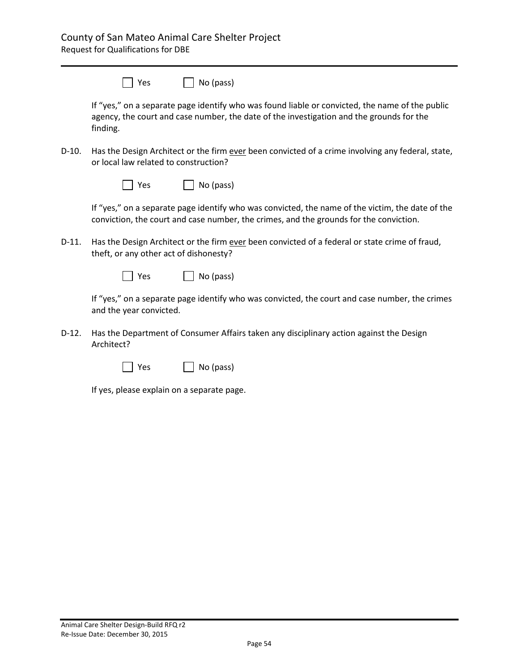| $\Box$ Yes | $\Box$ No (pass) |
|------------|------------------|
|------------|------------------|

If "yes," on a separate page identify who was found liable or convicted, the name of the public agency, the court and case number, the date of the investigation and the grounds for the finding.

D-10. Has the Design Architect or the firm ever been convicted of a crime involving any federal, state, or local law related to construction?

| $\Box$ Yes | $\Box$ No (pass) |
|------------|------------------|
|------------|------------------|

If "yes," on a separate page identify who was convicted, the name of the victim, the date of the conviction, the court and case number, the crimes, and the grounds for the conviction.

D-11. Has the Design Architect or the firm ever been convicted of a federal or state crime of fraud, theft, or any other act of dishonesty?

| $\Box$ Yes | $\Box$ No (pass) |
|------------|------------------|
|------------|------------------|

If "yes," on a separate page identify who was convicted, the court and case number, the crimes and the year convicted.

D-12. Has the Department of Consumer Affairs taken any disciplinary action against the Design Architect?

| Yes | $\Box$ No (pass) |  |
|-----|------------------|--|
|-----|------------------|--|

If yes, please explain on a separate page.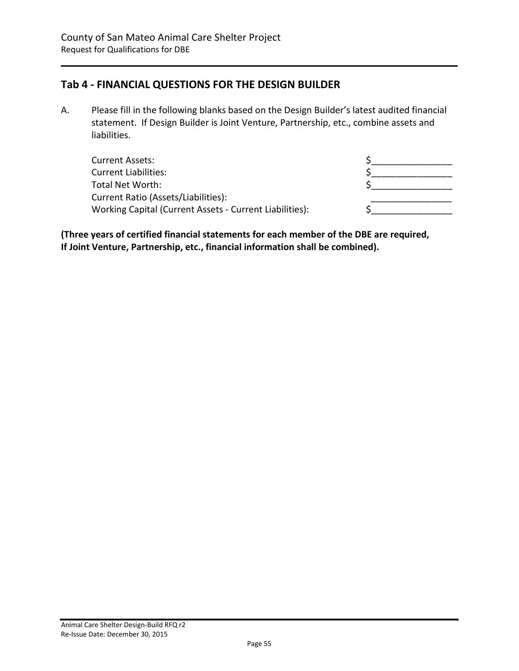# <span id="page-54-0"></span>**Tab 4 - FINANCIAL QUESTIONS FOR THE DESIGN BUILDER**

A. Please fill in the following blanks based on the Design Builder's latest audited financial statement. If Design Builder is Joint Venture, Partnership, etc., combine assets and liabilities.

| Current Assets:                                         |  |
|---------------------------------------------------------|--|
| <b>Current Liabilities:</b>                             |  |
| Total Net Worth:                                        |  |
| Current Ratio (Assets/Liabilities):                     |  |
| Working Capital (Current Assets - Current Liabilities): |  |

**(Three years of certified financial statements for each member of the DBE are required, If Joint Venture, Partnership, etc., financial information shall be combined).**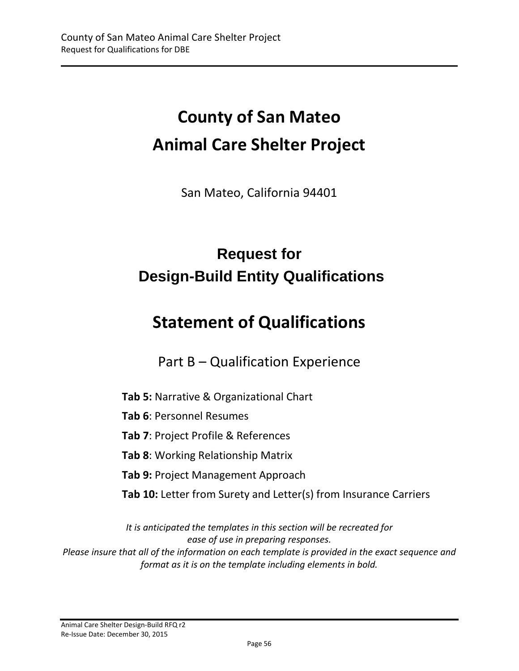# **County of San Mateo Animal Care Shelter Project**

San Mateo, California 94401

# **Request for Design-Build Entity Qualifications**

# **Statement of Qualifications**

Part B – Qualification Experience

**Tab 5:** Narrative & Organizational Chart

**Tab 6**: Personnel Resumes

**Tab 7**: Project Profile & References

**Tab 8**: Working Relationship Matrix

**Tab 9:** Project Management Approach

**Tab 10:** Letter from Surety and Letter(s) from Insurance Carriers

*It is anticipated the templates in this section will be recreated for ease of use in preparing responses. Please insure that all of the information on each template is provided in the exact sequence and format as it is on the template including elements in bold.*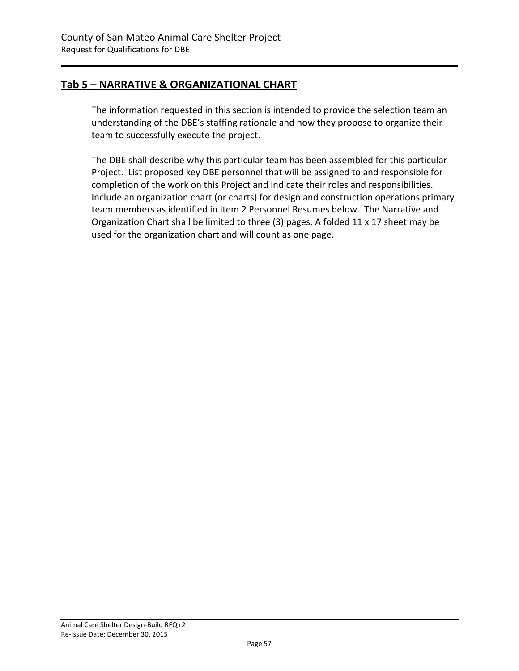# <span id="page-56-0"></span>**Tab 5 – NARRATIVE & ORGANIZATIONAL CHART**

The information requested in this section is intended to provide the selection team an understanding of the DBE's staffing rationale and how they propose to organize their team to successfully execute the project.

The DBE shall describe why this particular team has been assembled for this particular Project. List proposed key DBE personnel that will be assigned to and responsible for completion of the work on this Project and indicate their roles and responsibilities. Include an organization chart (or charts) for design and construction operations primary team members as identified in Item 2 Personnel Resumes below. The Narrative and Organization Chart shall be limited to three (3) pages. A folded 11 x 17 sheet may be used for the organization chart and will count as one page.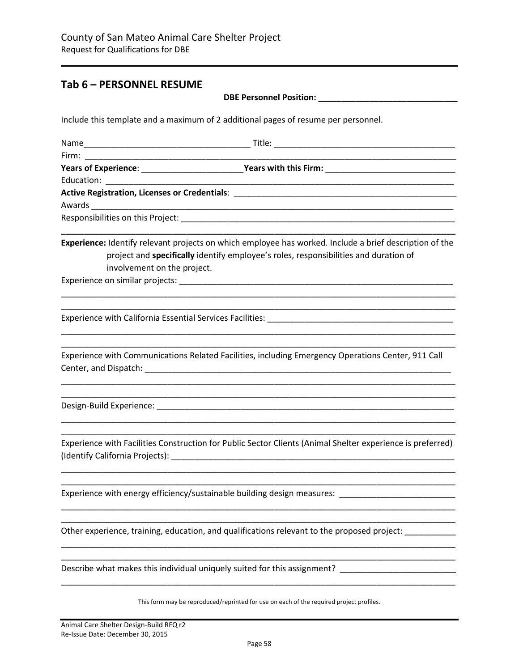### <span id="page-57-0"></span>**Tab 6 – PERSONNEL RESUME**

| <b>DBE Personnel Position:</b> |  |
|--------------------------------|--|
|                                |  |

Include this template and a maximum of 2 additional pages of resume per personnel.

| Years of Experience: __________________________Years with this Firm: _______________________________                                                                                                                           |
|--------------------------------------------------------------------------------------------------------------------------------------------------------------------------------------------------------------------------------|
|                                                                                                                                                                                                                                |
|                                                                                                                                                                                                                                |
|                                                                                                                                                                                                                                |
|                                                                                                                                                                                                                                |
| Experience: Identify relevant projects on which employee has worked. Include a brief description of the<br>project and specifically identify employee's roles, responsibilities and duration of<br>involvement on the project. |
|                                                                                                                                                                                                                                |
|                                                                                                                                                                                                                                |
|                                                                                                                                                                                                                                |
| Experience with Communications Related Facilities, including Emergency Operations Center, 911 Call                                                                                                                             |
|                                                                                                                                                                                                                                |
| Experience with Facilities Construction for Public Sector Clients (Animal Shelter experience is preferred)                                                                                                                     |
| Experience with energy efficiency/sustainable building design measures: [1986] Experience with energy efficiency/sustainable building design measures:                                                                         |
| Other experience, training, education, and qualifications relevant to the proposed project:                                                                                                                                    |
| Describe what makes this individual uniquely suited for this assignment?                                                                                                                                                       |
| This form may be reproduced/reprinted for use on each of the required project profiles.                                                                                                                                        |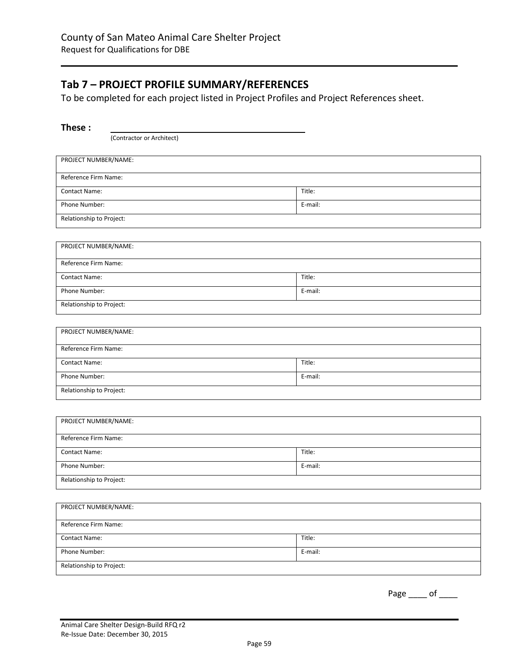# <span id="page-58-0"></span>**Tab 7 – PROJECT PROFILE SUMMARY/REFERENCES**

To be completed for each project listed in Project Profiles and Project References sheet.

| н п | Р<br>ı | æ |  |
|-----|--------|---|--|
|     |        |   |  |

(Contractor or Architect)

| PROJECT NUMBER/NAME:     |         |
|--------------------------|---------|
| Reference Firm Name:     |         |
| <b>Contact Name:</b>     | Title:  |
| Phone Number:            | E-mail: |
| Relationship to Project: |         |
|                          |         |

| PROJECT NUMBER/NAME:     |         |
|--------------------------|---------|
| Reference Firm Name:     |         |
| <b>Contact Name:</b>     | Title:  |
| Phone Number:            | E-mail: |
| Relationship to Project: |         |

| PROJECT NUMBER/NAME:     |         |
|--------------------------|---------|
| Reference Firm Name:     |         |
| <b>Contact Name:</b>     | Title:  |
| Phone Number:            | E-mail: |
| Relationship to Project: |         |

| PROJECT NUMBER/NAME:     |         |
|--------------------------|---------|
| Reference Firm Name:     |         |
| <b>Contact Name:</b>     | Title:  |
| Phone Number:            | E-mail: |
| Relationship to Project: |         |

| PROJECT NUMBER/NAME:     |         |
|--------------------------|---------|
| Reference Firm Name:     |         |
| <b>Contact Name:</b>     | Title:  |
| Phone Number:            | E-mail: |
| Relationship to Project: |         |

Page \_\_\_\_ of \_\_\_\_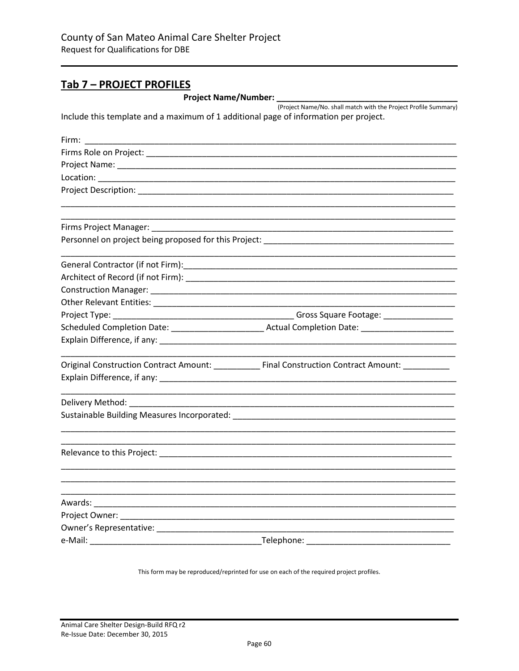### Tab 7 - PROJECT PROFILES

**Project Name/Number:** 

(Project Name/No. shall match with the Project Profile Summary) Include this template and a maximum of 1 additional page of information per project.

| Firm: $\frac{1}{2}$                                                                                            |                                                                                                     |
|----------------------------------------------------------------------------------------------------------------|-----------------------------------------------------------------------------------------------------|
|                                                                                                                |                                                                                                     |
|                                                                                                                |                                                                                                     |
|                                                                                                                |                                                                                                     |
| Project Description: National Action of the Contract of the Contract of the Contract of the Contract of the Co |                                                                                                     |
|                                                                                                                |                                                                                                     |
| Firms Project Manager: National Project Manager:                                                               |                                                                                                     |
|                                                                                                                |                                                                                                     |
|                                                                                                                |                                                                                                     |
|                                                                                                                |                                                                                                     |
|                                                                                                                |                                                                                                     |
|                                                                                                                |                                                                                                     |
|                                                                                                                |                                                                                                     |
|                                                                                                                |                                                                                                     |
|                                                                                                                |                                                                                                     |
|                                                                                                                | Original Construction Contract Amount: _____________ Final Construction Contract Amount: __________ |
|                                                                                                                |                                                                                                     |
|                                                                                                                |                                                                                                     |
|                                                                                                                |                                                                                                     |
|                                                                                                                |                                                                                                     |
|                                                                                                                |                                                                                                     |
|                                                                                                                |                                                                                                     |
|                                                                                                                |                                                                                                     |
|                                                                                                                |                                                                                                     |
|                                                                                                                |                                                                                                     |
|                                                                                                                |                                                                                                     |
|                                                                                                                |                                                                                                     |

This form may be reproduced/reprinted for use on each of the required project profiles.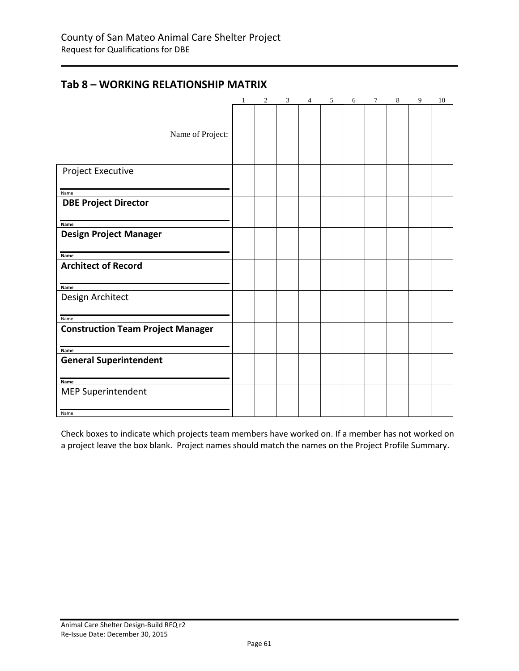# <span id="page-60-0"></span>**Tab 8 – WORKING RELATIONSHIP MATRIX**

|                                          | 1 | 2 | 3 | 4 | 5 | 6 | $\tau$ | 8 | 9 | 10 |
|------------------------------------------|---|---|---|---|---|---|--------|---|---|----|
|                                          |   |   |   |   |   |   |        |   |   |    |
|                                          |   |   |   |   |   |   |        |   |   |    |
| Name of Project:                         |   |   |   |   |   |   |        |   |   |    |
|                                          |   |   |   |   |   |   |        |   |   |    |
| <b>Project Executive</b>                 |   |   |   |   |   |   |        |   |   |    |
|                                          |   |   |   |   |   |   |        |   |   |    |
| Name                                     |   |   |   |   |   |   |        |   |   |    |
| <b>DBE Project Director</b>              |   |   |   |   |   |   |        |   |   |    |
|                                          |   |   |   |   |   |   |        |   |   |    |
| Name                                     |   |   |   |   |   |   |        |   |   |    |
| <b>Design Project Manager</b>            |   |   |   |   |   |   |        |   |   |    |
| Name                                     |   |   |   |   |   |   |        |   |   |    |
| <b>Architect of Record</b>               |   |   |   |   |   |   |        |   |   |    |
|                                          |   |   |   |   |   |   |        |   |   |    |
| Name                                     |   |   |   |   |   |   |        |   |   |    |
| Design Architect                         |   |   |   |   |   |   |        |   |   |    |
| Name                                     |   |   |   |   |   |   |        |   |   |    |
| <b>Construction Team Project Manager</b> |   |   |   |   |   |   |        |   |   |    |
|                                          |   |   |   |   |   |   |        |   |   |    |
| Name                                     |   |   |   |   |   |   |        |   |   |    |
| <b>General Superintendent</b>            |   |   |   |   |   |   |        |   |   |    |
|                                          |   |   |   |   |   |   |        |   |   |    |
| Name                                     |   |   |   |   |   |   |        |   |   |    |
| <b>MEP Superintendent</b>                |   |   |   |   |   |   |        |   |   |    |
| Name                                     |   |   |   |   |   |   |        |   |   |    |

Check boxes to indicate which projects team members have worked on. If a member has not worked on a project leave the box blank.Project names should match the names on the Project Profile Summary.